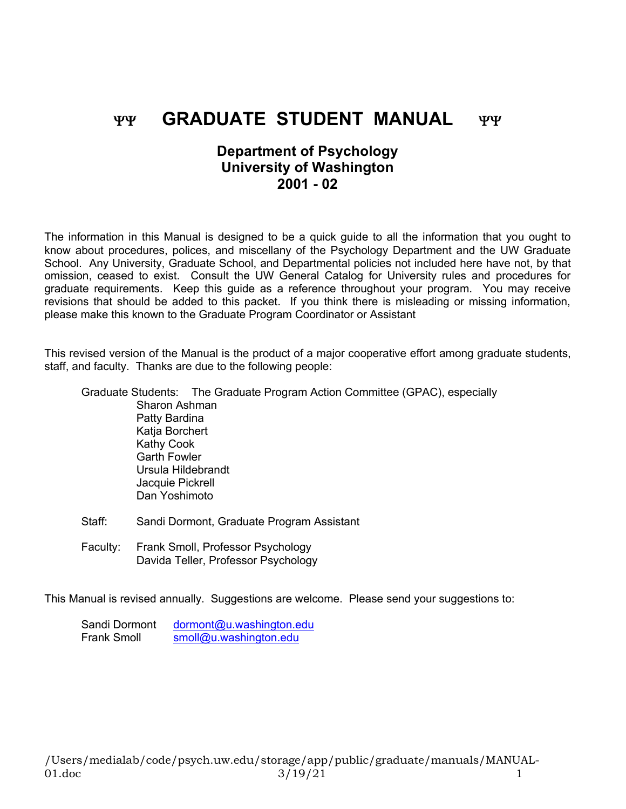# YY **GRADUATE STUDENT MANUAL** YY

# **Department of Psychology University of Washington 2001 - 02**

The information in this Manual is designed to be a quick guide to all the information that you ought to know about procedures, polices, and miscellany of the Psychology Department and the UW Graduate School. Any University, Graduate School, and Departmental policies not included here have not, by that omission, ceased to exist. Consult the UW General Catalog for University rules and procedures for graduate requirements. Keep this guide as a reference throughout your program. You may receive revisions that should be added to this packet. If you think there is misleading or missing information, please make this known to the Graduate Program Coordinator or Assistant

This revised version of the Manual is the product of a major cooperative effort among graduate students, staff, and faculty. Thanks are due to the following people:

|                     | Graduate Students: The Graduate Program Action Committee (GPAC), especially |
|---------------------|-----------------------------------------------------------------------------|
| Sharon Ashman       |                                                                             |
| Patty Bardina       |                                                                             |
| Katja Borchert      |                                                                             |
| Kathy Cook          |                                                                             |
| <b>Garth Fowler</b> |                                                                             |
| Ursula Hildebrandt  |                                                                             |
| Jacquie Pickrell    |                                                                             |
| Dan Yoshimoto       |                                                                             |
|                     |                                                                             |

- Staff: Sandi Dormont, Graduate Program Assistant
- Faculty: Frank Smoll, Professor Psychology Davida Teller, Professor Psychology

This Manual is revised annually. Suggestions are welcome. Please send your suggestions to:

| Sandi Dormont      | dormont@u.washington.edu |
|--------------------|--------------------------|
| <b>Frank Smoll</b> | smoll@u.washington.edu   |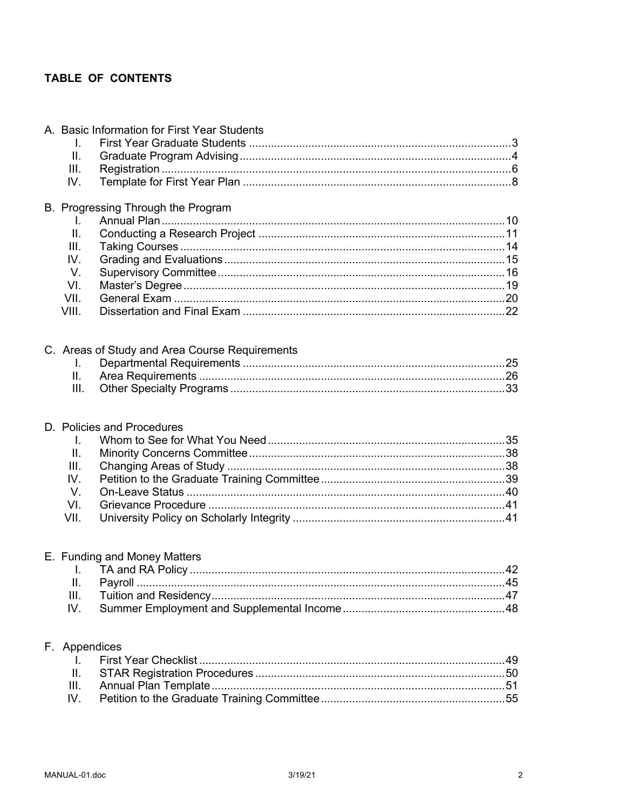# TABLE OF CONTENTS

|               | A. Basic Information for First Year Students   |  |
|---------------|------------------------------------------------|--|
| I.            |                                                |  |
| II.           |                                                |  |
| III.          |                                                |  |
| IV.           |                                                |  |
|               | B. Progressing Through the Program             |  |
| I.            |                                                |  |
| II.           |                                                |  |
| III.          |                                                |  |
| IV.           |                                                |  |
| V.            |                                                |  |
| VI.           |                                                |  |
| VII.          |                                                |  |
| VIII.         |                                                |  |
|               |                                                |  |
|               | C. Areas of Study and Area Course Requirements |  |
| L.            |                                                |  |
| II.           |                                                |  |
| III.          |                                                |  |
|               | D. Policies and Procedures                     |  |
| Ι.            |                                                |  |
| II.           |                                                |  |
| III.          |                                                |  |
| IV.           |                                                |  |
| $V_{\cdot}$   |                                                |  |
| VI.           |                                                |  |
| VII.          |                                                |  |
|               |                                                |  |
|               |                                                |  |
|               |                                                |  |
|               | E. Funding and Money Matters                   |  |
|               |                                                |  |
| Ш.<br>III.    |                                                |  |
| IV.           |                                                |  |
|               |                                                |  |
| F. Appendices |                                                |  |
| I.            |                                                |  |
| ΙΙ.           |                                                |  |
| III.<br>IV.   |                                                |  |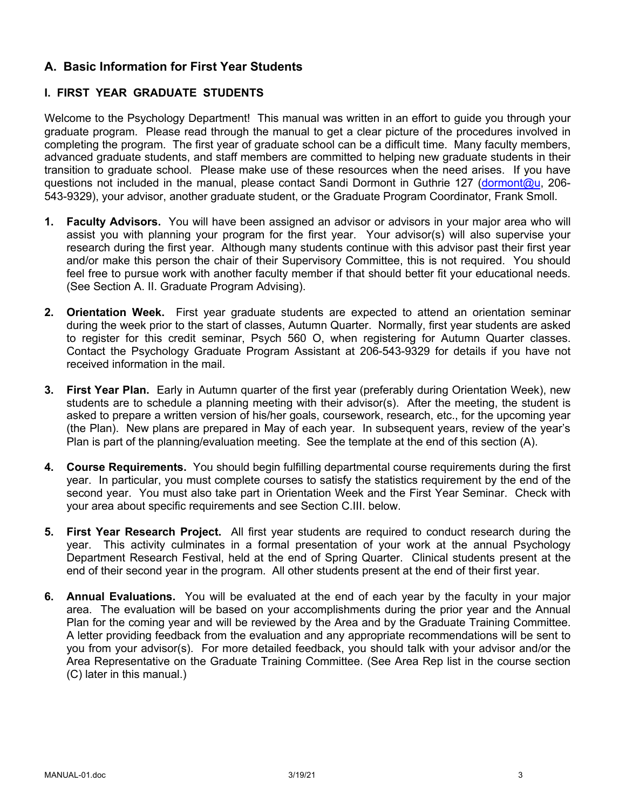# **A. Basic Information for First Year Students**

# **I. FIRST YEAR GRADUATE STUDENTS**

Welcome to the Psychology Department! This manual was written in an effort to guide you through your graduate program. Please read through the manual to get a clear picture of the procedures involved in completing the program. The first year of graduate school can be a difficult time. Many faculty members, advanced graduate students, and staff members are committed to helping new graduate students in their transition to graduate school. Please make use of these resources when the need arises. If you have questions not included in the manual, please contact Sandi Dormont in Guthrie 127 (dormont@u, 206- 543-9329), your advisor, another graduate student, or the Graduate Program Coordinator, Frank Smoll.

- **1. Faculty Advisors.** You will have been assigned an advisor or advisors in your major area who will assist you with planning your program for the first year. Your advisor(s) will also supervise your research during the first year. Although many students continue with this advisor past their first year and/or make this person the chair of their Supervisory Committee, this is not required. You should feel free to pursue work with another faculty member if that should better fit your educational needs. (See Section A. II. Graduate Program Advising).
- **2. Orientation Week.** First year graduate students are expected to attend an orientation seminar during the week prior to the start of classes, Autumn Quarter. Normally, first year students are asked to register for this credit seminar, Psych 560 O, when registering for Autumn Quarter classes. Contact the Psychology Graduate Program Assistant at 206-543-9329 for details if you have not received information in the mail.
- **3. First Year Plan.** Early in Autumn quarter of the first year (preferably during Orientation Week), new students are to schedule a planning meeting with their advisor(s). After the meeting, the student is asked to prepare a written version of his/her goals, coursework, research, etc., for the upcoming year (the Plan). New plans are prepared in May of each year. In subsequent years, review of the year's Plan is part of the planning/evaluation meeting. See the template at the end of this section (A).
- **4. Course Requirements.** You should begin fulfilling departmental course requirements during the first year. In particular, you must complete courses to satisfy the statistics requirement by the end of the second year. You must also take part in Orientation Week and the First Year Seminar. Check with your area about specific requirements and see Section C.III. below.
- **5. First Year Research Project.** All first year students are required to conduct research during the year. This activity culminates in a formal presentation of your work at the annual Psychology Department Research Festival, held at the end of Spring Quarter. Clinical students present at the end of their second year in the program. All other students present at the end of their first year.
- **6. Annual Evaluations.** You will be evaluated at the end of each year by the faculty in your major area. The evaluation will be based on your accomplishments during the prior year and the Annual Plan for the coming year and will be reviewed by the Area and by the Graduate Training Committee. A letter providing feedback from the evaluation and any appropriate recommendations will be sent to you from your advisor(s). For more detailed feedback, you should talk with your advisor and/or the Area Representative on the Graduate Training Committee. (See Area Rep list in the course section (C) later in this manual.)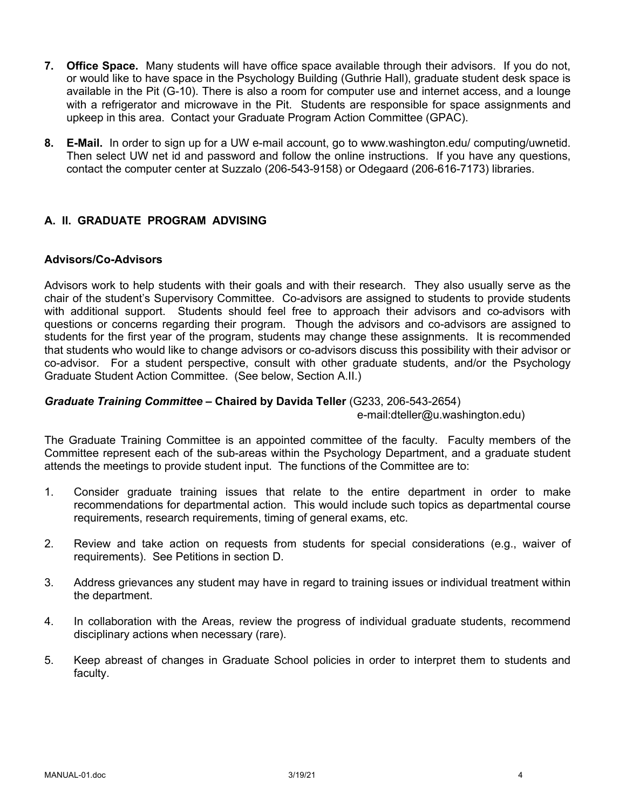- **7. Office Space.** Many students will have office space available through their advisors. If you do not, or would like to have space in the Psychology Building (Guthrie Hall), graduate student desk space is available in the Pit (G-10). There is also a room for computer use and internet access, and a lounge with a refrigerator and microwave in the Pit. Students are responsible for space assignments and upkeep in this area. Contact your Graduate Program Action Committee (GPAC).
- **8. E-Mail.** In order to sign up for a UW e-mail account, go to www.washington.edu/ computing/uwnetid. Then select UW net id and password and follow the online instructions. If you have any questions, contact the computer center at Suzzalo (206-543-9158) or Odegaard (206-616-7173) libraries.

# **A. II. GRADUATE PROGRAM ADVISING**

#### **Advisors/Co-Advisors**

Advisors work to help students with their goals and with their research. They also usually serve as the chair of the student's Supervisory Committee. Co-advisors are assigned to students to provide students with additional support. Students should feel free to approach their advisors and co-advisors with questions or concerns regarding their program. Though the advisors and co-advisors are assigned to students for the first year of the program, students may change these assignments. It is recommended that students who would like to change advisors or co-advisors discuss this possibility with their advisor or co-advisor. For a student perspective, consult with other graduate students, and/or the Psychology Graduate Student Action Committee. (See below, Section A.II.)

#### *Graduate Training Committee –* **Chaired by Davida Teller** (G233, 206-543-2654)

e-mail:dteller@u.washington.edu)

The Graduate Training Committee is an appointed committee of the faculty. Faculty members of the Committee represent each of the sub-areas within the Psychology Department, and a graduate student attends the meetings to provide student input. The functions of the Committee are to:

- 1. Consider graduate training issues that relate to the entire department in order to make recommendations for departmental action. This would include such topics as departmental course requirements, research requirements, timing of general exams, etc.
- 2. Review and take action on requests from students for special considerations (e.g., waiver of requirements). See Petitions in section D.
- 3. Address grievances any student may have in regard to training issues or individual treatment within the department.
- 4. In collaboration with the Areas, review the progress of individual graduate students, recommend disciplinary actions when necessary (rare).
- 5. Keep abreast of changes in Graduate School policies in order to interpret them to students and faculty.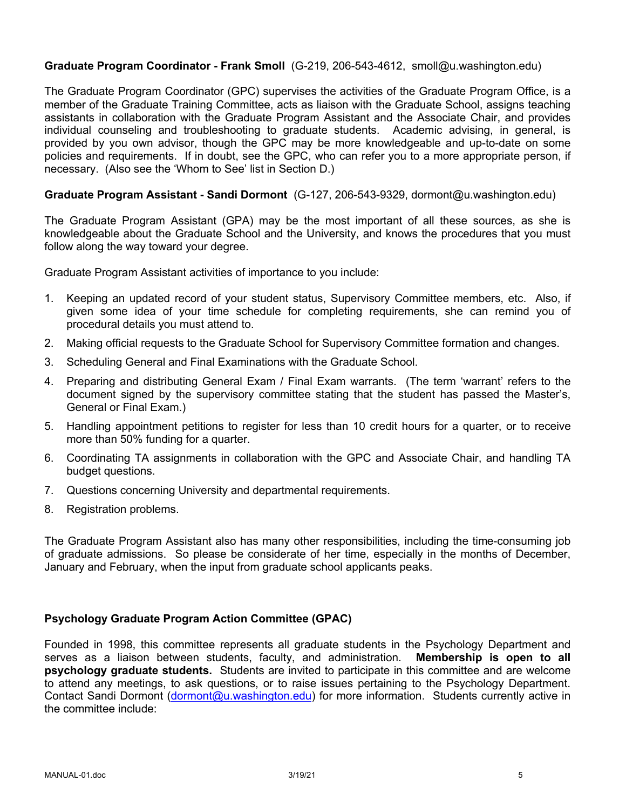## **Graduate Program Coordinator - Frank Smoll** (G-219, 206-543-4612, smoll@u.washington.edu)

The Graduate Program Coordinator (GPC) supervises the activities of the Graduate Program Office, is a member of the Graduate Training Committee, acts as liaison with the Graduate School, assigns teaching assistants in collaboration with the Graduate Program Assistant and the Associate Chair, and provides individual counseling and troubleshooting to graduate students. Academic advising, in general, is provided by you own advisor, though the GPC may be more knowledgeable and up-to-date on some policies and requirements. If in doubt, see the GPC, who can refer you to a more appropriate person, if necessary. (Also see the 'Whom to See' list in Section D.)

## **Graduate Program Assistant - Sandi Dormont** (G-127, 206-543-9329, dormont@u.washington.edu)

The Graduate Program Assistant (GPA) may be the most important of all these sources, as she is knowledgeable about the Graduate School and the University, and knows the procedures that you must follow along the way toward your degree.

Graduate Program Assistant activities of importance to you include:

- 1. Keeping an updated record of your student status, Supervisory Committee members, etc. Also, if given some idea of your time schedule for completing requirements, she can remind you of procedural details you must attend to.
- 2. Making official requests to the Graduate School for Supervisory Committee formation and changes.
- 3. Scheduling General and Final Examinations with the Graduate School.
- 4. Preparing and distributing General Exam / Final Exam warrants. (The term 'warrant' refers to the document signed by the supervisory committee stating that the student has passed the Master's, General or Final Exam.)
- 5. Handling appointment petitions to register for less than 10 credit hours for a quarter, or to receive more than 50% funding for a quarter.
- 6. Coordinating TA assignments in collaboration with the GPC and Associate Chair, and handling TA budget questions.
- 7. Questions concerning University and departmental requirements.
- 8. Registration problems.

The Graduate Program Assistant also has many other responsibilities, including the time-consuming job of graduate admissions. So please be considerate of her time, especially in the months of December, January and February, when the input from graduate school applicants peaks.

#### **Psychology Graduate Program Action Committee (GPAC)**

Founded in 1998, this committee represents all graduate students in the Psychology Department and serves as a liaison between students, faculty, and administration. **Membership is open to all psychology graduate students.** Students are invited to participate in this committee and are welcome to attend any meetings, to ask questions, or to raise issues pertaining to the Psychology Department. Contact Sandi Dormont (dormont@u.washington.edu) for more information. Students currently active in the committee include: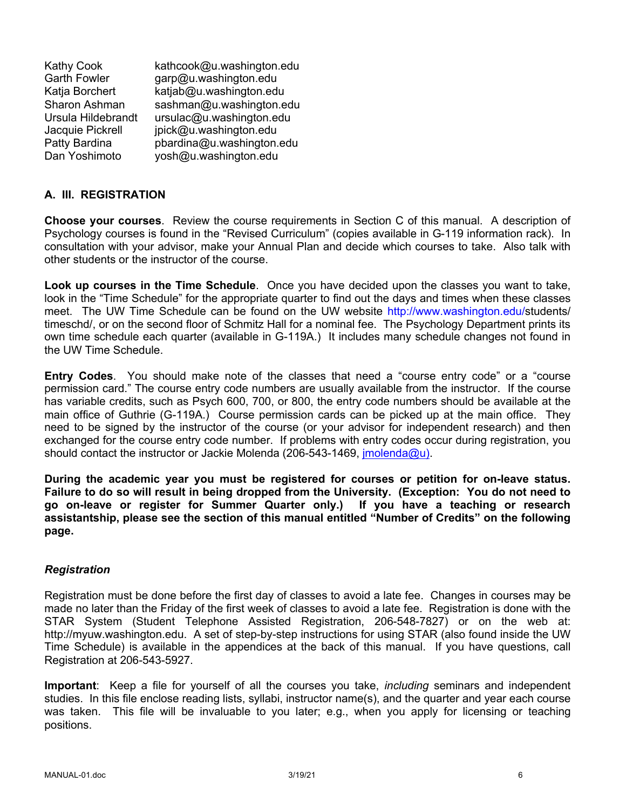| <b>Kathy Cook</b>   | kathcook@u.washington.edu |
|---------------------|---------------------------|
| <b>Garth Fowler</b> | garp@u.washington.edu     |
| Katja Borchert      | katjab@u.washington.edu   |
| Sharon Ashman       | sashman@u.washington.edu  |
| Ursula Hildebrandt  | ursulac@u.washington.edu  |
| Jacquie Pickrell    | jpick@u.washington.edu    |
| Patty Bardina       | pbardina@u.washington.edu |
| Dan Yoshimoto       | yosh@u.washington.edu     |

# **A. III. REGISTRATION**

**Choose your courses**. Review the course requirements in Section C of this manual. A description of Psychology courses is found in the "Revised Curriculum" (copies available in G-119 information rack). In consultation with your advisor, make your Annual Plan and decide which courses to take. Also talk with other students or the instructor of the course.

**Look up courses in the Time Schedule**. Once you have decided upon the classes you want to take, look in the "Time Schedule" for the appropriate quarter to find out the days and times when these classes meet. The UW Time Schedule can be found on the UW website http://www.washington.edu/students/ timeschd/, or on the second floor of Schmitz Hall for a nominal fee. The Psychology Department prints its own time schedule each quarter (available in G-119A.) It includes many schedule changes not found in the UW Time Schedule.

**Entry Codes**. You should make note of the classes that need a "course entry code" or a "course permission card." The course entry code numbers are usually available from the instructor. If the course has variable credits, such as Psych 600, 700, or 800, the entry code numbers should be available at the main office of Guthrie (G-119A.) Course permission cards can be picked up at the main office. They need to be signed by the instructor of the course (or your advisor for independent research) and then exchanged for the course entry code number. If problems with entry codes occur during registration, you should contact the instructor or Jackie Molenda (206-543-1469, *imolenda@u)*.

**During the academic year you must be registered for courses or petition for on-leave status. Failure to do so will result in being dropped from the University. (Exception: You do not need to go on-leave or register for Summer Quarter only.) If you have a teaching or research assistantship, please see the section of this manual entitled "Number of Credits" on the following page.**

#### *Registration*

Registration must be done before the first day of classes to avoid a late fee. Changes in courses may be made no later than the Friday of the first week of classes to avoid a late fee. Registration is done with the STAR System (Student Telephone Assisted Registration, 206-548-7827) or on the web at: http://myuw.washington.edu. A set of step-by-step instructions for using STAR (also found inside the UW Time Schedule) is available in the appendices at the back of this manual. If you have questions, call Registration at 206-543-5927.

**Important**: Keep a file for yourself of all the courses you take, *including* seminars and independent studies. In this file enclose reading lists, syllabi, instructor name(s), and the quarter and year each course was taken. This file will be invaluable to you later; e.g., when you apply for licensing or teaching positions.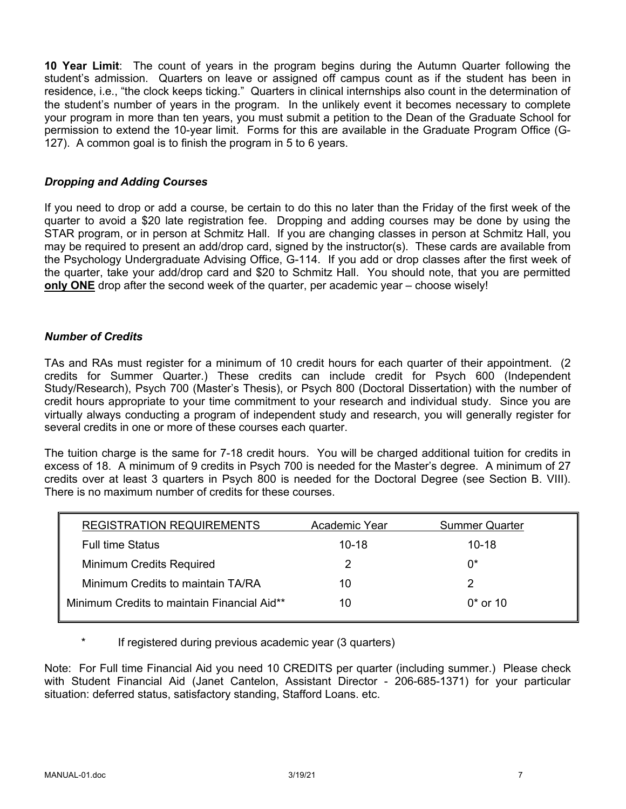**10 Year Limit**: The count of years in the program begins during the Autumn Quarter following the student's admission. Quarters on leave or assigned off campus count as if the student has been in residence, i.e., "the clock keeps ticking." Quarters in clinical internships also count in the determination of the student's number of years in the program. In the unlikely event it becomes necessary to complete your program in more than ten years, you must submit a petition to the Dean of the Graduate School for permission to extend the 10-year limit. Forms for this are available in the Graduate Program Office (G-127). A common goal is to finish the program in 5 to 6 years.

## *Dropping and Adding Courses*

If you need to drop or add a course, be certain to do this no later than the Friday of the first week of the quarter to avoid a \$20 late registration fee. Dropping and adding courses may be done by using the STAR program, or in person at Schmitz Hall. If you are changing classes in person at Schmitz Hall, you may be required to present an add/drop card, signed by the instructor(s). These cards are available from the Psychology Undergraduate Advising Office, G-114. If you add or drop classes after the first week of the quarter, take your add/drop card and \$20 to Schmitz Hall. You should note, that you are permitted **only ONE** drop after the second week of the quarter, per academic year – choose wisely!

## *Number of Credits*

TAs and RAs must register for a minimum of 10 credit hours for each quarter of their appointment. (2 credits for Summer Quarter.) These credits can include credit for Psych 600 (Independent Study/Research), Psych 700 (Master's Thesis), or Psych 800 (Doctoral Dissertation) with the number of credit hours appropriate to your time commitment to your research and individual study. Since you are virtually always conducting a program of independent study and research, you will generally register for several credits in one or more of these courses each quarter.

The tuition charge is the same for 7-18 credit hours. You will be charged additional tuition for credits in excess of 18. A minimum of 9 credits in Psych 700 is needed for the Master's degree. A minimum of 27 credits over at least 3 quarters in Psych 800 is needed for the Doctoral Degree (see Section B. VIII). There is no maximum number of credits for these courses.

| <b>REGISTRATION REQUIREMENTS</b>            | Academic Year | <b>Summer Quarter</b> |
|---------------------------------------------|---------------|-----------------------|
| <b>Full time Status</b>                     | $10 - 18$     | $10 - 18$             |
| Minimum Credits Required                    |               | 0*                    |
| Minimum Credits to maintain TA/RA           | 10            |                       |
| Minimum Credits to maintain Financial Aid** | 10            | $0*$ or 10            |

If registered during previous academic year (3 quarters)

Note: For Full time Financial Aid you need 10 CREDITS per quarter (including summer.) Please check with Student Financial Aid (Janet Cantelon, Assistant Director - 206-685-1371) for your particular situation: deferred status, satisfactory standing, Stafford Loans. etc.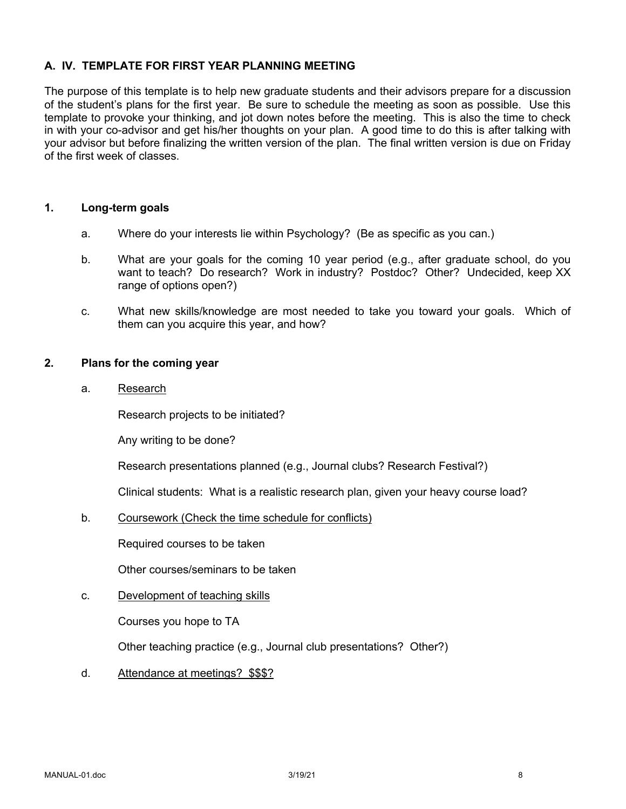## **A. IV. TEMPLATE FOR FIRST YEAR PLANNING MEETING**

The purpose of this template is to help new graduate students and their advisors prepare for a discussion of the student's plans for the first year. Be sure to schedule the meeting as soon as possible. Use this template to provoke your thinking, and jot down notes before the meeting. This is also the time to check in with your co-advisor and get his/her thoughts on your plan. A good time to do this is after talking with your advisor but before finalizing the written version of the plan. The final written version is due on Friday of the first week of classes.

#### **1. Long-term goals**

- a. Where do your interests lie within Psychology? (Be as specific as you can.)
- b. What are your goals for the coming 10 year period (e.g., after graduate school, do you want to teach? Do research? Work in industry? Postdoc? Other? Undecided, keep XX range of options open?)
- c. What new skills/knowledge are most needed to take you toward your goals. Which of them can you acquire this year, and how?

#### **2. Plans for the coming year**

a. Research

Research projects to be initiated?

Any writing to be done?

Research presentations planned (e.g., Journal clubs? Research Festival?)

Clinical students: What is a realistic research plan, given your heavy course load?

b. Coursework (Check the time schedule for conflicts)

Required courses to be taken

Other courses/seminars to be taken

#### c. Development of teaching skills

Courses you hope to TA

Other teaching practice (e.g., Journal club presentations? Other?)

d. Attendance at meetings? \$\$\$?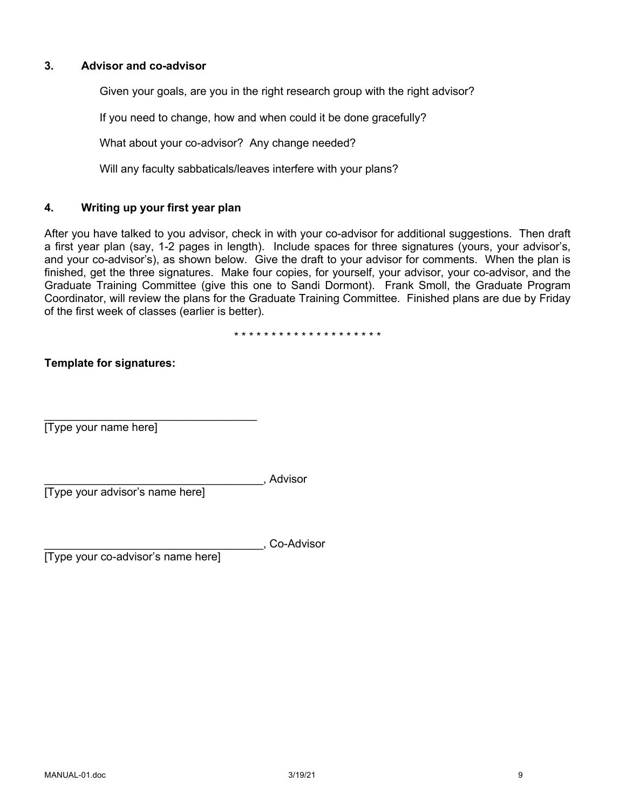## **3. Advisor and co-advisor**

Given your goals, are you in the right research group with the right advisor?

If you need to change, how and when could it be done gracefully?

What about your co-advisor? Any change needed?

Will any faculty sabbaticals/leaves interfere with your plans?

## **4. Writing up your first year plan**

After you have talked to you advisor, check in with your co-advisor for additional suggestions. Then draft a first year plan (say, 1-2 pages in length). Include spaces for three signatures (yours, your advisor's, and your co-advisor's), as shown below. Give the draft to your advisor for comments. When the plan is finished, get the three signatures. Make four copies, for yourself, your advisor, your co-advisor, and the Graduate Training Committee (give this one to Sandi Dormont). Frank Smoll, the Graduate Program Coordinator, will review the plans for the Graduate Training Committee. Finished plans are due by Friday of the first week of classes (earlier is better).

\* \* \* \* \* \* \* \* \* \* \* \* \* \* \* \* \* \* \* \*

# **Template for signatures:**

[Type your name here]

\_\_\_\_\_\_\_\_\_\_\_\_\_\_\_\_\_\_\_\_\_\_\_\_\_\_\_\_\_\_\_\_\_\_\_, Advisor

[Type your advisor's name here]

 $\mathcal{L}=\mathcal{L}=\mathcal{L}=\mathcal{L}=\mathcal{L}=\mathcal{L}=\mathcal{L}=\mathcal{L}=\mathcal{L}=\mathcal{L}=\mathcal{L}=\mathcal{L}=\mathcal{L}=\mathcal{L}=\mathcal{L}=\mathcal{L}=\mathcal{L}=\mathcal{L}=\mathcal{L}=\mathcal{L}=\mathcal{L}=\mathcal{L}=\mathcal{L}=\mathcal{L}=\mathcal{L}=\mathcal{L}=\mathcal{L}=\mathcal{L}=\mathcal{L}=\mathcal{L}=\mathcal{L}=\mathcal{L}=\mathcal{L}=\mathcal{L}=\mathcal{L}=\mathcal{L}=\mathcal{$ 

\_\_\_\_\_\_\_\_\_\_\_\_\_\_\_\_\_\_\_\_\_\_\_\_\_\_\_\_\_\_\_\_\_\_\_, Co-Advisor

[Type your co-advisor's name here]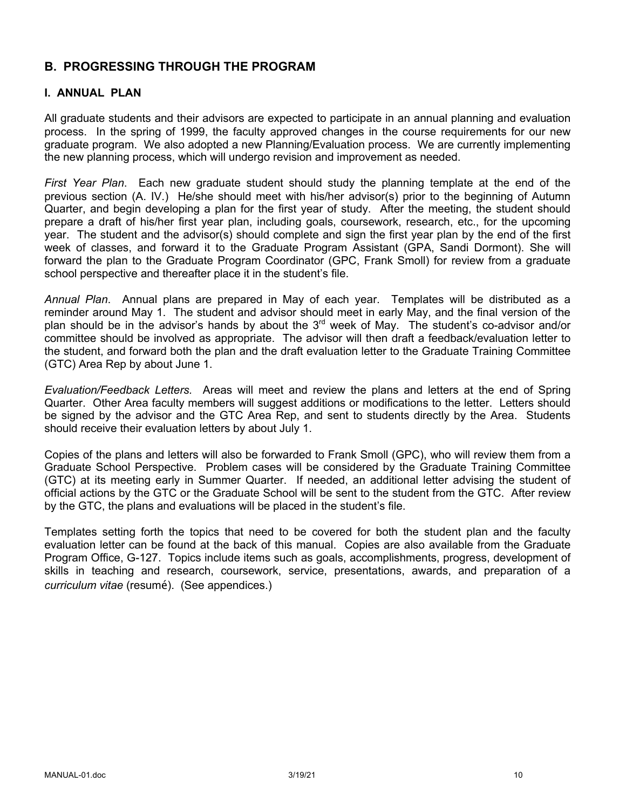# **B. PROGRESSING THROUGH THE PROGRAM**

## **I. ANNUAL PLAN**

All graduate students and their advisors are expected to participate in an annual planning and evaluation process. In the spring of 1999, the faculty approved changes in the course requirements for our new graduate program. We also adopted a new Planning/Evaluation process. We are currently implementing the new planning process, which will undergo revision and improvement as needed.

*First Year Plan*. Each new graduate student should study the planning template at the end of the previous section (A. IV.) He/she should meet with his/her advisor(s) prior to the beginning of Autumn Quarter, and begin developing a plan for the first year of study. After the meeting, the student should prepare a draft of his/her first year plan, including goals, coursework, research, etc., for the upcoming year. The student and the advisor(s) should complete and sign the first year plan by the end of the first week of classes, and forward it to the Graduate Program Assistant (GPA, Sandi Dormont). She will forward the plan to the Graduate Program Coordinator (GPC, Frank Smoll) for review from a graduate school perspective and thereafter place it in the student's file.

*Annual Plan*. Annual plans are prepared in May of each year. Templates will be distributed as a reminder around May 1. The student and advisor should meet in early May, and the final version of the plan should be in the advisor's hands by about the 3<sup>rd</sup> week of May. The student's co-advisor and/or committee should be involved as appropriate. The advisor will then draft a feedback/evaluation letter to the student, and forward both the plan and the draft evaluation letter to the Graduate Training Committee (GTC) Area Rep by about June 1.

*Evaluation/Feedback Letters.* Areas will meet and review the plans and letters at the end of Spring Quarter. Other Area faculty members will suggest additions or modifications to the letter. Letters should be signed by the advisor and the GTC Area Rep, and sent to students directly by the Area. Students should receive their evaluation letters by about July 1.

Copies of the plans and letters will also be forwarded to Frank Smoll (GPC), who will review them from a Graduate School Perspective. Problem cases will be considered by the Graduate Training Committee (GTC) at its meeting early in Summer Quarter. If needed, an additional letter advising the student of official actions by the GTC or the Graduate School will be sent to the student from the GTC. After review by the GTC, the plans and evaluations will be placed in the student's file.

Templates setting forth the topics that need to be covered for both the student plan and the faculty evaluation letter can be found at the back of this manual. Copies are also available from the Graduate Program Office, G-127. Topics include items such as goals, accomplishments, progress, development of skills in teaching and research, coursework, service, presentations, awards, and preparation of a *curriculum vitae* (resumé). (See appendices.)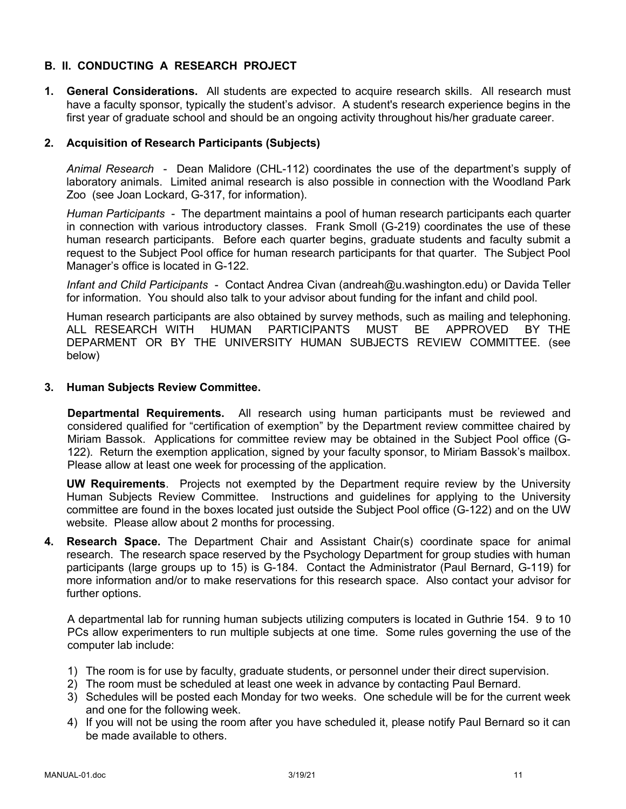# **B. II. CONDUCTING A RESEARCH PROJECT**

**1. General Considerations.** All students are expected to acquire research skills. All research must have a faculty sponsor, typically the student's advisor. A student's research experience begins in the first year of graduate school and should be an ongoing activity throughout his/her graduate career.

## **2. Acquisition of Research Participants (Subjects)**

*Animal Research* - Dean Malidore (CHL-112) coordinates the use of the department's supply of laboratory animals. Limited animal research is also possible in connection with the Woodland Park Zoo (see Joan Lockard, G-317, for information).

*Human Participants* - The department maintains a pool of human research participants each quarter in connection with various introductory classes. Frank Smoll (G-219) coordinates the use of these human research participants. Before each quarter begins, graduate students and faculty submit a request to the Subject Pool office for human research participants for that quarter. The Subject Pool Manager's office is located in G-122.

*Infant and Child Participants* - Contact Andrea Civan (andreah@u.washington.edu) or Davida Teller for information. You should also talk to your advisor about funding for the infant and child pool.

Human research participants are also obtained by survey methods, such as mailing and telephoning. ALL RESEARCH WITH HUMAN PARTICIPANTS MUST BE APPROVED BY THE DEPARMENT OR BY THE UNIVERSITY HUMAN SUBJECTS REVIEW COMMITTEE. (see below)

## **3. Human Subjects Review Committee.**

**Departmental Requirements.** All research using human participants must be reviewed and considered qualified for "certification of exemption" by the Department review committee chaired by Miriam Bassok. Applications for committee review may be obtained in the Subject Pool office (G-122). Return the exemption application, signed by your faculty sponsor, to Miriam Bassok's mailbox. Please allow at least one week for processing of the application.

**UW Requirements**. Projects not exempted by the Department require review by the University Human Subjects Review Committee. Instructions and guidelines for applying to the University committee are found in the boxes located just outside the Subject Pool office (G-122) and on the UW website. Please allow about 2 months for processing.

**4. Research Space.** The Department Chair and Assistant Chair(s) coordinate space for animal research. The research space reserved by the Psychology Department for group studies with human participants (large groups up to 15) is G-184. Contact the Administrator (Paul Bernard, G-119) for more information and/or to make reservations for this research space. Also contact your advisor for further options.

A departmental lab for running human subjects utilizing computers is located in Guthrie 154. 9 to 10 PCs allow experimenters to run multiple subjects at one time. Some rules governing the use of the computer lab include:

- 1) The room is for use by faculty, graduate students, or personnel under their direct supervision.
- 2) The room must be scheduled at least one week in advance by contacting Paul Bernard.
- 3) Schedules will be posted each Monday for two weeks. One schedule will be for the current week and one for the following week.
- 4) If you will not be using the room after you have scheduled it, please notify Paul Bernard so it can be made available to others.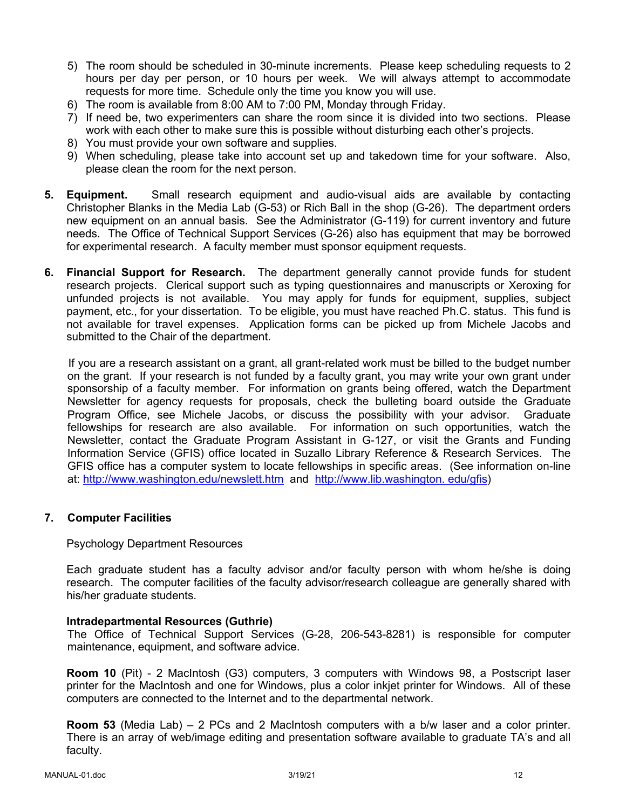- 5) The room should be scheduled in 30-minute increments. Please keep scheduling requests to 2 hours per day per person, or 10 hours per week. We will always attempt to accommodate requests for more time. Schedule only the time you know you will use.
- 6) The room is available from 8:00 AM to 7:00 PM, Monday through Friday.
- 7) If need be, two experimenters can share the room since it is divided into two sections. Please work with each other to make sure this is possible without disturbing each other's projects.
- 8) You must provide your own software and supplies.
- 9) When scheduling, please take into account set up and takedown time for your software. Also, please clean the room for the next person.
- **5. Equipment.** Small research equipment and audio-visual aids are available by contacting Christopher Blanks in the Media Lab (G-53) or Rich Ball in the shop (G-26). The department orders new equipment on an annual basis. See the Administrator (G-119) for current inventory and future needs. The Office of Technical Support Services (G-26) also has equipment that may be borrowed for experimental research. A faculty member must sponsor equipment requests.
- **6. Financial Support for Research.** The department generally cannot provide funds for student research projects. Clerical support such as typing questionnaires and manuscripts or Xeroxing for unfunded projects is not available. You may apply for funds for equipment, supplies, subject payment, etc., for your dissertation. To be eligible, you must have reached Ph.C. status. This fund is not available for travel expenses. Application forms can be picked up from Michele Jacobs and submitted to the Chair of the department.

If you are a research assistant on a grant, all grant-related work must be billed to the budget number on the grant. If your research is not funded by a faculty grant, you may write your own grant under sponsorship of a faculty member. For information on grants being offered, watch the Department Newsletter for agency requests for proposals, check the bulleting board outside the Graduate Program Office, see Michele Jacobs, or discuss the possibility with your advisor. Graduate fellowships for research are also available. For information on such opportunities, watch the Newsletter, contact the Graduate Program Assistant in G-127, or visit the Grants and Funding Information Service (GFIS) office located in Suzallo Library Reference & Research Services. The GFIS office has a computer system to locate fellowships in specific areas. (See information on-line at: http://www.washington.edu/newslett.htm and http://www.lib.washington. edu/gfis)

# **7. Computer Facilities**

#### Psychology Department Resources

Each graduate student has a faculty advisor and/or faculty person with whom he/she is doing research. The computer facilities of the faculty advisor/research colleague are generally shared with his/her graduate students.

#### **Intradepartmental Resources (Guthrie)**

The Office of Technical Support Services (G-28, 206-543-8281) is responsible for computer maintenance, equipment, and software advice.

**Room 10** (Pit) - 2 MacIntosh (G3) computers, 3 computers with Windows 98, a Postscript laser printer for the MacIntosh and one for Windows, plus a color inkjet printer for Windows. All of these computers are connected to the Internet and to the departmental network.

**Room 53** (Media Lab) – 2 PCs and 2 MacIntosh computers with a b/w laser and a color printer. There is an array of web/image editing and presentation software available to graduate TA's and all faculty.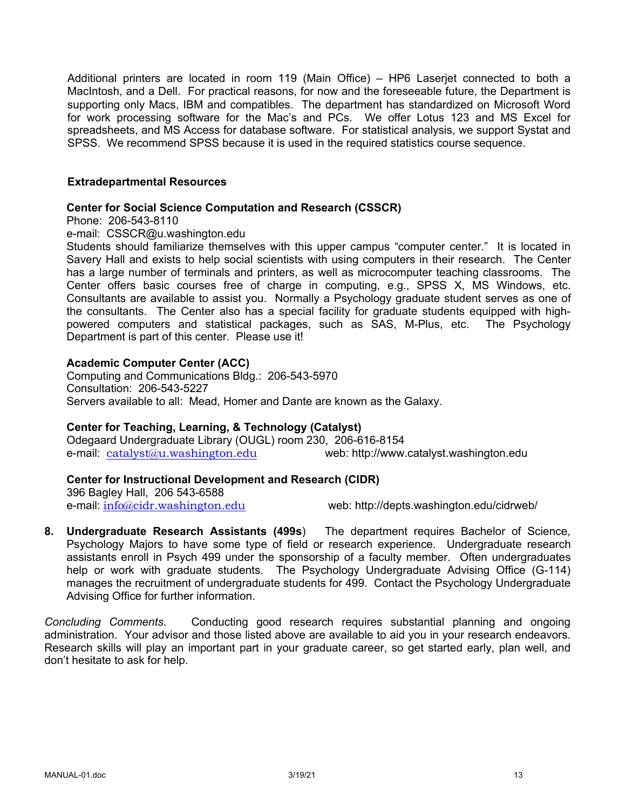Additional printers are located in room 119 (Main Office) – HP6 Laserjet connected to both a MacIntosh, and a Dell. For practical reasons, for now and the foreseeable future, the Department is supporting only Macs, IBM and compatibles. The department has standardized on Microsoft Word for work processing software for the Mac's and PCs. We offer Lotus 123 and MS Excel for spreadsheets, and MS Access for database software. For statistical analysis, we support Systat and SPSS. We recommend SPSS because it is used in the required statistics course sequence.

#### **Extradepartmental Resources**

#### **Center for Social Science Computation and Research (CSSCR)**

Phone: 206-543-8110

e-mail: CSSCR@u.washington.edu

Students should familiarize themselves with this upper campus "computer center." It is located in Savery Hall and exists to help social scientists with using computers in their research. The Center has a large number of terminals and printers, as well as microcomputer teaching classrooms. The Center offers basic courses free of charge in computing, e.g., SPSS X, MS Windows, etc. Consultants are available to assist you. Normally a Psychology graduate student serves as one of the consultants. The Center also has a special facility for graduate students equipped with highpowered computers and statistical packages, such as SAS, M-Plus, etc. The Psychology Department is part of this center. Please use it!

## **Academic Computer Center (ACC)**

Computing and Communications Bldg.: 206-543-5970 Consultation: 206-543-5227 Servers available to all: Mead, Homer and Dante are known as the Galaxy.

# **Center for Teaching, Learning, & Technology (Catalyst)**

Odegaard Undergraduate Library (OUGL) room 230, 206-616-8154 e-mail: catalyst@u.washington.edu web: http://www.catalyst.washington.edu

# **Center for Instructional Development and Research (CIDR)**

396 Bagley Hall, 206 543-6588

e-mail:  $\frac{info@cidr.washington.edu}{info@cidr.washington.edu}$  web: http://depts.washington.edu/cidrweb/

**8. Undergraduate Research Assistants (499s**) The department requires Bachelor of Science, Psychology Majors to have some type of field or research experience. Undergraduate research assistants enroll in Psych 499 under the sponsorship of a faculty member. Often undergraduates help or work with graduate students. The Psychology Undergraduate Advising Office (G-114) manages the recruitment of undergraduate students for 499. Contact the Psychology Undergraduate Advising Office for further information.

*Concluding Comments*. Conducting good research requires substantial planning and ongoing administration. Your advisor and those listed above are available to aid you in your research endeavors. Research skills will play an important part in your graduate career, so get started early, plan well, and don't hesitate to ask for help.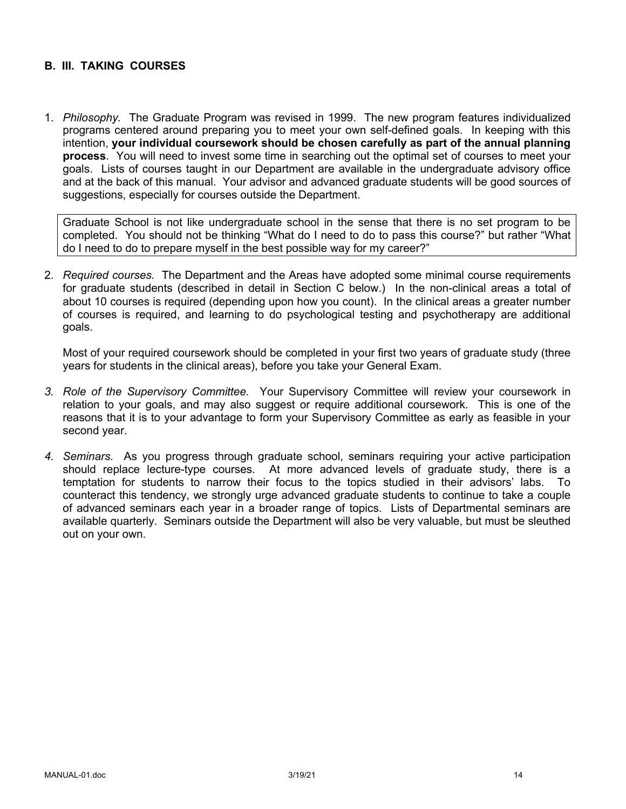## **B. III. TAKING COURSES**

1. *Philosophy.* The Graduate Program was revised in 1999. The new program features individualized programs centered around preparing you to meet your own self-defined goals. In keeping with this intention, **your individual coursework should be chosen carefully as part of the annual planning process**. You will need to invest some time in searching out the optimal set of courses to meet your goals. Lists of courses taught in our Department are available in the undergraduate advisory office and at the back of this manual. Your advisor and advanced graduate students will be good sources of suggestions, especially for courses outside the Department.

Graduate School is not like undergraduate school in the sense that there is no set program to be completed. You should not be thinking "What do I need to do to pass this course?" but rather "What do I need to do to prepare myself in the best possible way for my career?"

2. *Required courses.* The Department and the Areas have adopted some minimal course requirements for graduate students (described in detail in Section C below.) In the non-clinical areas a total of about 10 courses is required (depending upon how you count). In the clinical areas a greater number of courses is required, and learning to do psychological testing and psychotherapy are additional goals.

Most of your required coursework should be completed in your first two years of graduate study (three years for students in the clinical areas), before you take your General Exam.

- *3. Role of the Supervisory Committee.* Your Supervisory Committee will review your coursework in relation to your goals, and may also suggest or require additional coursework. This is one of the reasons that it is to your advantage to form your Supervisory Committee as early as feasible in your second year.
- *4. Seminars.* As you progress through graduate school, seminars requiring your active participation should replace lecture-type courses. At more advanced levels of graduate study, there is a temptation for students to narrow their focus to the topics studied in their advisors' labs. To counteract this tendency, we strongly urge advanced graduate students to continue to take a couple of advanced seminars each year in a broader range of topics. Lists of Departmental seminars are available quarterly. Seminars outside the Department will also be very valuable, but must be sleuthed out on your own.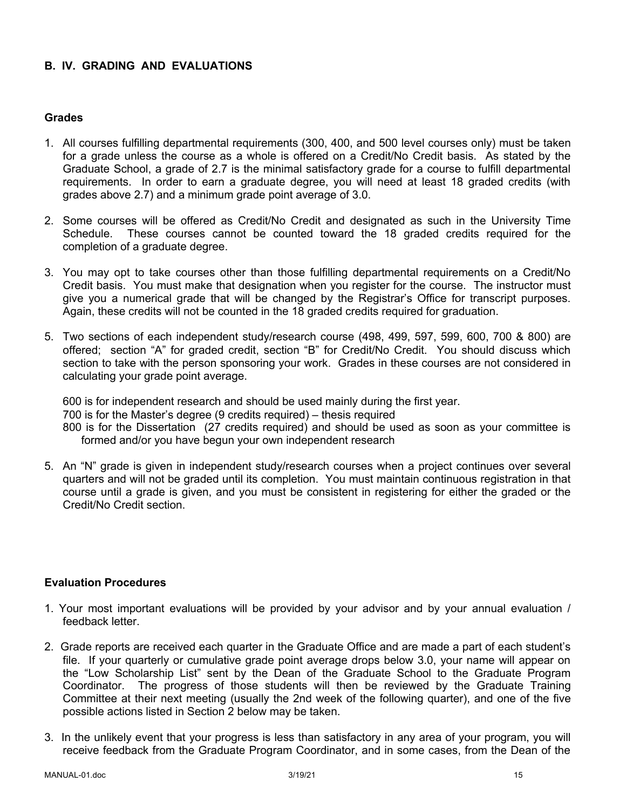# **B. IV. GRADING AND EVALUATIONS**

#### **Grades**

- 1. All courses fulfilling departmental requirements (300, 400, and 500 level courses only) must be taken for a grade unless the course as a whole is offered on a Credit/No Credit basis. As stated by the Graduate School, a grade of 2.7 is the minimal satisfactory grade for a course to fulfill departmental requirements. In order to earn a graduate degree, you will need at least 18 graded credits (with grades above 2.7) and a minimum grade point average of 3.0.
- 2. Some courses will be offered as Credit/No Credit and designated as such in the University Time Schedule. These courses cannot be counted toward the 18 graded credits required for the completion of a graduate degree.
- 3. You may opt to take courses other than those fulfilling departmental requirements on a Credit/No Credit basis. You must make that designation when you register for the course. The instructor must give you a numerical grade that will be changed by the Registrar's Office for transcript purposes. Again, these credits will not be counted in the 18 graded credits required for graduation.
- 5. Two sections of each independent study/research course (498, 499, 597, 599, 600, 700 & 800) are offered; section "A" for graded credit, section "B" for Credit/No Credit. You should discuss which section to take with the person sponsoring your work. Grades in these courses are not considered in calculating your grade point average.

600 is for independent research and should be used mainly during the first year. 700 is for the Master's degree (9 credits required) – thesis required 800 is for the Dissertation (27 credits required) and should be used as soon as your committee is formed and/or you have begun your own independent research

5. An "N" grade is given in independent study/research courses when a project continues over several quarters and will not be graded until its completion. You must maintain continuous registration in that course until a grade is given, and you must be consistent in registering for either the graded or the Credit/No Credit section.

#### **Evaluation Procedures**

- 1. Your most important evaluations will be provided by your advisor and by your annual evaluation / feedback letter.
- 2. Grade reports are received each quarter in the Graduate Office and are made a part of each student's file. If your quarterly or cumulative grade point average drops below 3.0, your name will appear on the "Low Scholarship List" sent by the Dean of the Graduate School to the Graduate Program Coordinator. The progress of those students will then be reviewed by the Graduate Training Committee at their next meeting (usually the 2nd week of the following quarter), and one of the five possible actions listed in Section 2 below may be taken.
- 3. In the unlikely event that your progress is less than satisfactory in any area of your program, you will receive feedback from the Graduate Program Coordinator, and in some cases, from the Dean of the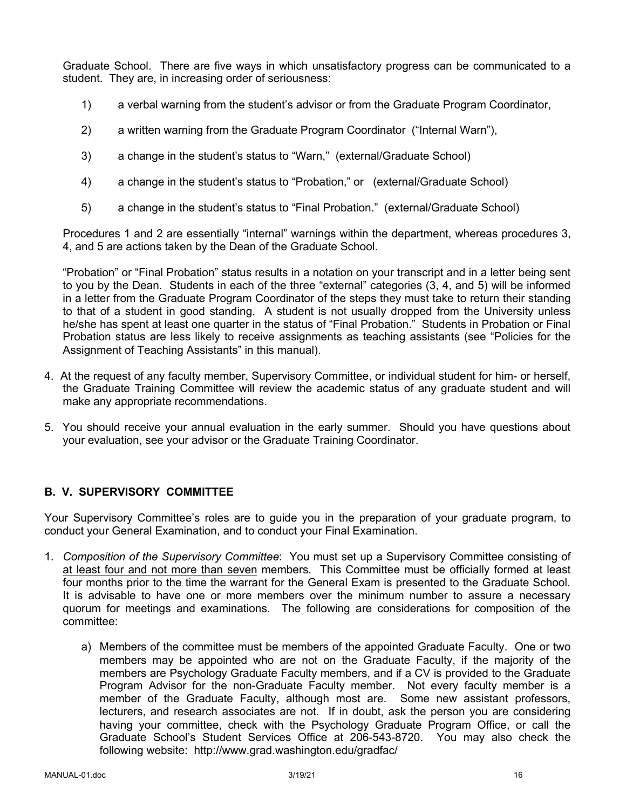Graduate School. There are five ways in which unsatisfactory progress can be communicated to a student. They are, in increasing order of seriousness:

- 1) a verbal warning from the student's advisor or from the Graduate Program Coordinator,
- 2) a written warning from the Graduate Program Coordinator ("Internal Warn"),
- 3) a change in the student's status to "Warn," (external/Graduate School)
- 4) a change in the student's status to "Probation," or (external/Graduate School)
- 5) a change in the student's status to "Final Probation." (external/Graduate School)

Procedures 1 and 2 are essentially "internal" warnings within the department, whereas procedures 3, 4, and 5 are actions taken by the Dean of the Graduate School.

"Probation" or "Final Probation" status results in a notation on your transcript and in a letter being sent to you by the Dean. Students in each of the three "external" categories (3, 4, and 5) will be informed in a letter from the Graduate Program Coordinator of the steps they must take to return their standing to that of a student in good standing. A student is not usually dropped from the University unless he/she has spent at least one quarter in the status of "Final Probation." Students in Probation or Final Probation status are less likely to receive assignments as teaching assistants (see "Policies for the Assignment of Teaching Assistants" in this manual).

- 4. At the request of any faculty member, Supervisory Committee, or individual student for him- or herself, the Graduate Training Committee will review the academic status of any graduate student and will make any appropriate recommendations.
- 5. You should receive your annual evaluation in the early summer. Should you have questions about your evaluation, see your advisor or the Graduate Training Coordinator.

# **B. V. SUPERVISORY COMMITTEE**

Your Supervisory Committee's roles are to guide you in the preparation of your graduate program, to conduct your General Examination, and to conduct your Final Examination.

- 1. *Composition of the Supervisory Committee*: You must set up a Supervisory Committee consisting of at least four and not more than seven members. This Committee must be officially formed at least four months prior to the time the warrant for the General Exam is presented to the Graduate School. It is advisable to have one or more members over the minimum number to assure a necessary quorum for meetings and examinations. The following are considerations for composition of the committee:
	- a) Members of the committee must be members of the appointed Graduate Faculty. One or two members may be appointed who are not on the Graduate Faculty, if the majority of the members are Psychology Graduate Faculty members, and if a CV is provided to the Graduate Program Advisor for the non-Graduate Faculty member. Not every faculty member is a member of the Graduate Faculty, although most are. Some new assistant professors, lecturers, and research associates are not. If in doubt, ask the person you are considering having your committee, check with the Psychology Graduate Program Office, or call the Graduate School's Student Services Office at 206-543-8720. You may also check the following website: http://www.grad.washington.edu/gradfac/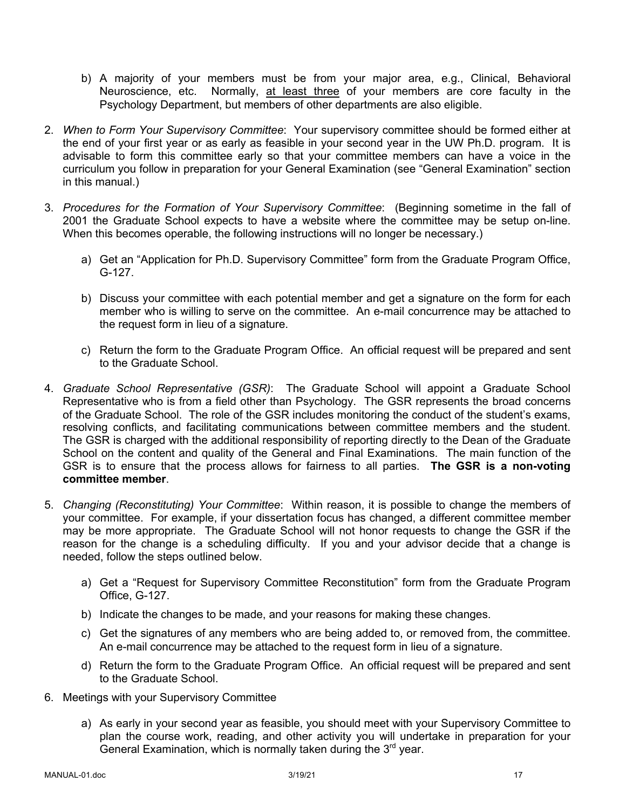- b) A majority of your members must be from your major area, e.g., Clinical, Behavioral Neuroscience, etc. Normally, at least three of your members are core faculty in the Psychology Department, but members of other departments are also eligible.
- 2. *When to Form Your Supervisory Committee*: Your supervisory committee should be formed either at the end of your first year or as early as feasible in your second year in the UW Ph.D. program. It is advisable to form this committee early so that your committee members can have a voice in the curriculum you follow in preparation for your General Examination (see "General Examination" section in this manual.)
- 3. *Procedures for the Formation of Your Supervisory Committee*: (Beginning sometime in the fall of 2001 the Graduate School expects to have a website where the committee may be setup on-line. When this becomes operable, the following instructions will no longer be necessary.)
	- a) Get an "Application for Ph.D. Supervisory Committee" form from the Graduate Program Office, G-127.
	- b) Discuss your committee with each potential member and get a signature on the form for each member who is willing to serve on the committee. An e-mail concurrence may be attached to the request form in lieu of a signature.
	- c) Return the form to the Graduate Program Office. An official request will be prepared and sent to the Graduate School.
- 4. *Graduate School Representative (GSR)*: The Graduate School will appoint a Graduate School Representative who is from a field other than Psychology. The GSR represents the broad concerns of the Graduate School. The role of the GSR includes monitoring the conduct of the student's exams, resolving conflicts, and facilitating communications between committee members and the student. The GSR is charged with the additional responsibility of reporting directly to the Dean of the Graduate School on the content and quality of the General and Final Examinations. The main function of the GSR is to ensure that the process allows for fairness to all parties. **The GSR is a non-voting committee member**.
- 5. *Changing (Reconstituting) Your Committee*: Within reason, it is possible to change the members of your committee. For example, if your dissertation focus has changed, a different committee member may be more appropriate. The Graduate School will not honor requests to change the GSR if the reason for the change is a scheduling difficulty. If you and your advisor decide that a change is needed, follow the steps outlined below.
	- a) Get a "Request for Supervisory Committee Reconstitution" form from the Graduate Program Office, G-127.
	- b) Indicate the changes to be made, and your reasons for making these changes.
	- c) Get the signatures of any members who are being added to, or removed from, the committee. An e-mail concurrence may be attached to the request form in lieu of a signature.
	- d) Return the form to the Graduate Program Office. An official request will be prepared and sent to the Graduate School.
- 6. Meetings with your Supervisory Committee
	- a) As early in your second year as feasible, you should meet with your Supervisory Committee to plan the course work, reading, and other activity you will undertake in preparation for your General Examination, which is normally taken during the  $3<sup>rd</sup>$  year.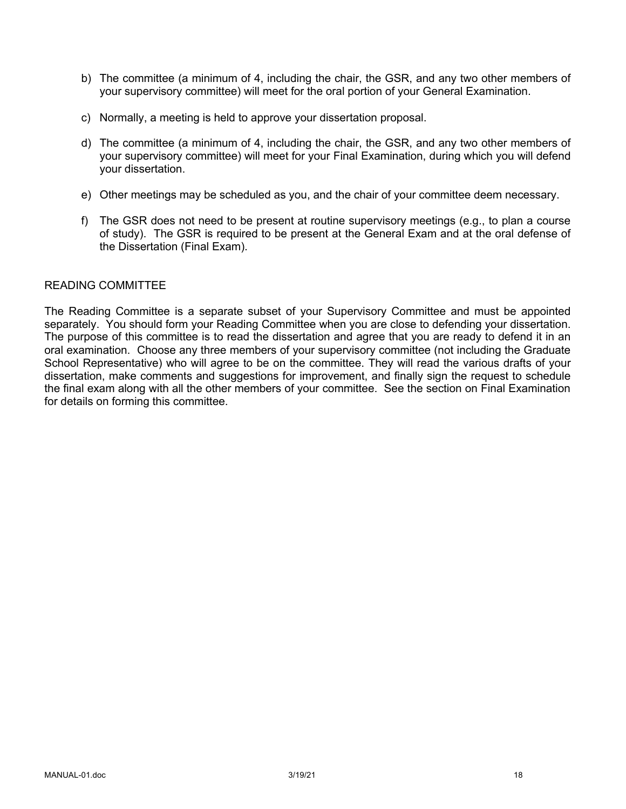- b) The committee (a minimum of 4, including the chair, the GSR, and any two other members of your supervisory committee) will meet for the oral portion of your General Examination.
- c) Normally, a meeting is held to approve your dissertation proposal.
- d) The committee (a minimum of 4, including the chair, the GSR, and any two other members of your supervisory committee) will meet for your Final Examination, during which you will defend your dissertation.
- e) Other meetings may be scheduled as you, and the chair of your committee deem necessary.
- f) The GSR does not need to be present at routine supervisory meetings (e.g., to plan a course of study). The GSR is required to be present at the General Exam and at the oral defense of the Dissertation (Final Exam).

## READING COMMITTEE

The Reading Committee is a separate subset of your Supervisory Committee and must be appointed separately. You should form your Reading Committee when you are close to defending your dissertation. The purpose of this committee is to read the dissertation and agree that you are ready to defend it in an oral examination. Choose any three members of your supervisory committee (not including the Graduate School Representative) who will agree to be on the committee. They will read the various drafts of your dissertation, make comments and suggestions for improvement, and finally sign the request to schedule the final exam along with all the other members of your committee. See the section on Final Examination for details on forming this committee.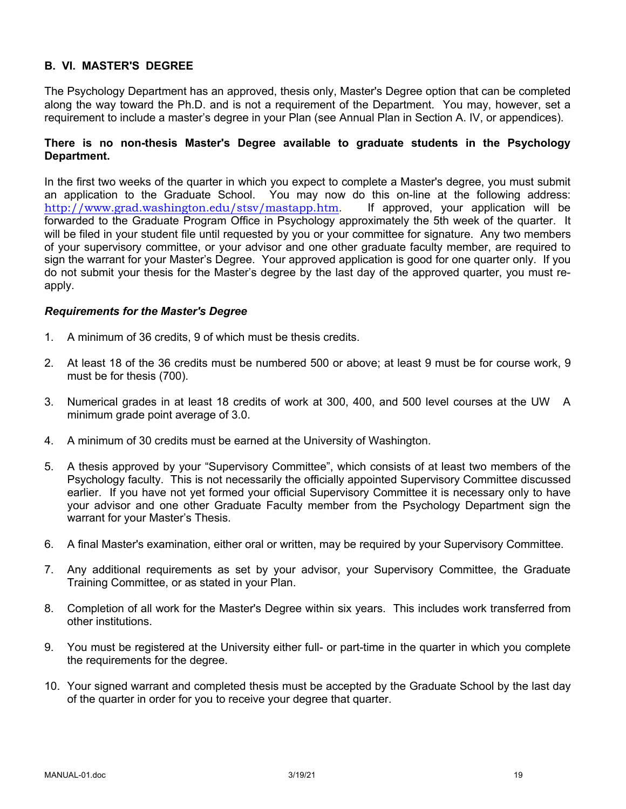# **B. VI. MASTER'S DEGREE**

The Psychology Department has an approved, thesis only, Master's Degree option that can be completed along the way toward the Ph.D. and is not a requirement of the Department. You may, however, set a requirement to include a master's degree in your Plan (see Annual Plan in Section A. IV, or appendices).

## **There is no non-thesis Master's Degree available to graduate students in the Psychology Department.**

In the first two weeks of the quarter in which you expect to complete a Master's degree, you must submit an application to the Graduate School. You may now do this on-line at the following address: http://www.grad.washington.edu/stsv/mastapp.htm. If approved, your application will be forwarded to the Graduate Program Office in Psychology approximately the 5th week of the quarter. It will be filed in your student file until requested by you or your committee for signature. Any two members of your supervisory committee, or your advisor and one other graduate faculty member, are required to sign the warrant for your Master's Degree. Your approved application is good for one quarter only. If you do not submit your thesis for the Master's degree by the last day of the approved quarter, you must reapply.

## *Requirements for the Master's Degree*

- 1. A minimum of 36 credits, 9 of which must be thesis credits.
- 2. At least 18 of the 36 credits must be numbered 500 or above; at least 9 must be for course work, 9 must be for thesis (700).
- 3. Numerical grades in at least 18 credits of work at 300, 400, and 500 level courses at the UW A minimum grade point average of 3.0.
- 4. A minimum of 30 credits must be earned at the University of Washington.
- 5. A thesis approved by your "Supervisory Committee", which consists of at least two members of the Psychology faculty. This is not necessarily the officially appointed Supervisory Committee discussed earlier. If you have not yet formed your official Supervisory Committee it is necessary only to have your advisor and one other Graduate Faculty member from the Psychology Department sign the warrant for your Master's Thesis.
- 6. A final Master's examination, either oral or written, may be required by your Supervisory Committee.
- 7. Any additional requirements as set by your advisor, your Supervisory Committee, the Graduate Training Committee, or as stated in your Plan.
- 8. Completion of all work for the Master's Degree within six years. This includes work transferred from other institutions.
- 9. You must be registered at the University either full- or part-time in the quarter in which you complete the requirements for the degree.
- 10. Your signed warrant and completed thesis must be accepted by the Graduate School by the last day of the quarter in order for you to receive your degree that quarter.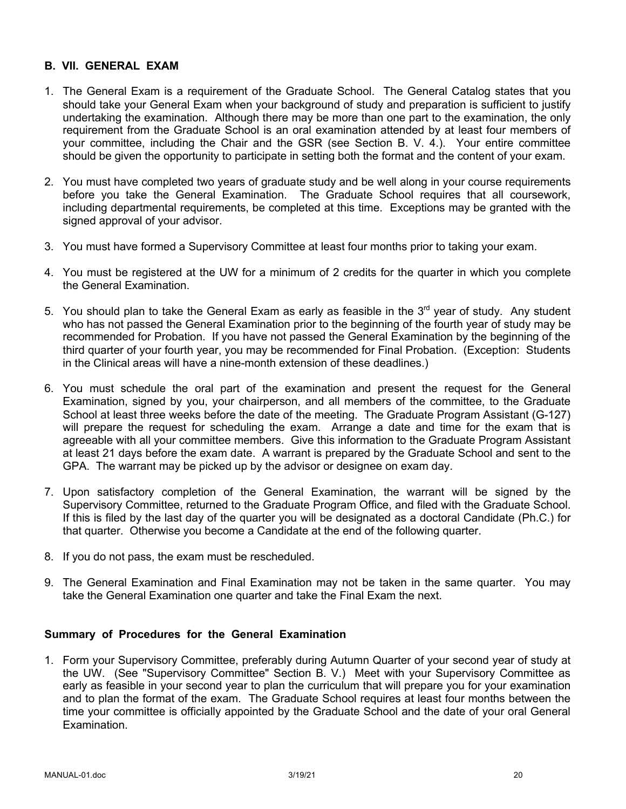## **B. VII. GENERAL EXAM**

- 1. The General Exam is a requirement of the Graduate School. The General Catalog states that you should take your General Exam when your background of study and preparation is sufficient to justify undertaking the examination. Although there may be more than one part to the examination, the only requirement from the Graduate School is an oral examination attended by at least four members of your committee, including the Chair and the GSR (see Section B. V. 4.). Your entire committee should be given the opportunity to participate in setting both the format and the content of your exam.
- 2. You must have completed two years of graduate study and be well along in your course requirements before you take the General Examination. The Graduate School requires that all coursework, including departmental requirements, be completed at this time. Exceptions may be granted with the signed approval of your advisor.
- 3. You must have formed a Supervisory Committee at least four months prior to taking your exam.
- 4. You must be registered at the UW for a minimum of 2 credits for the quarter in which you complete the General Examination.
- 5. You should plan to take the General Exam as early as feasible in the  $3<sup>rd</sup>$  year of study. Any student who has not passed the General Examination prior to the beginning of the fourth year of study may be recommended for Probation. If you have not passed the General Examination by the beginning of the third quarter of your fourth year, you may be recommended for Final Probation. (Exception: Students in the Clinical areas will have a nine-month extension of these deadlines.)
- 6. You must schedule the oral part of the examination and present the request for the General Examination, signed by you, your chairperson, and all members of the committee, to the Graduate School at least three weeks before the date of the meeting. The Graduate Program Assistant (G-127) will prepare the request for scheduling the exam. Arrange a date and time for the exam that is agreeable with all your committee members. Give this information to the Graduate Program Assistant at least 21 days before the exam date. A warrant is prepared by the Graduate School and sent to the GPA. The warrant may be picked up by the advisor or designee on exam day.
- 7. Upon satisfactory completion of the General Examination, the warrant will be signed by the Supervisory Committee, returned to the Graduate Program Office, and filed with the Graduate School. If this is filed by the last day of the quarter you will be designated as a doctoral Candidate (Ph.C.) for that quarter. Otherwise you become a Candidate at the end of the following quarter.
- 8. If you do not pass, the exam must be rescheduled.
- 9. The General Examination and Final Examination may not be taken in the same quarter. You may take the General Examination one quarter and take the Final Exam the next.

#### **Summary of Procedures for the General Examination**

1. Form your Supervisory Committee, preferably during Autumn Quarter of your second year of study at the UW. (See "Supervisory Committee" Section B. V.) Meet with your Supervisory Committee as early as feasible in your second year to plan the curriculum that will prepare you for your examination and to plan the format of the exam. The Graduate School requires at least four months between the time your committee is officially appointed by the Graduate School and the date of your oral General Examination.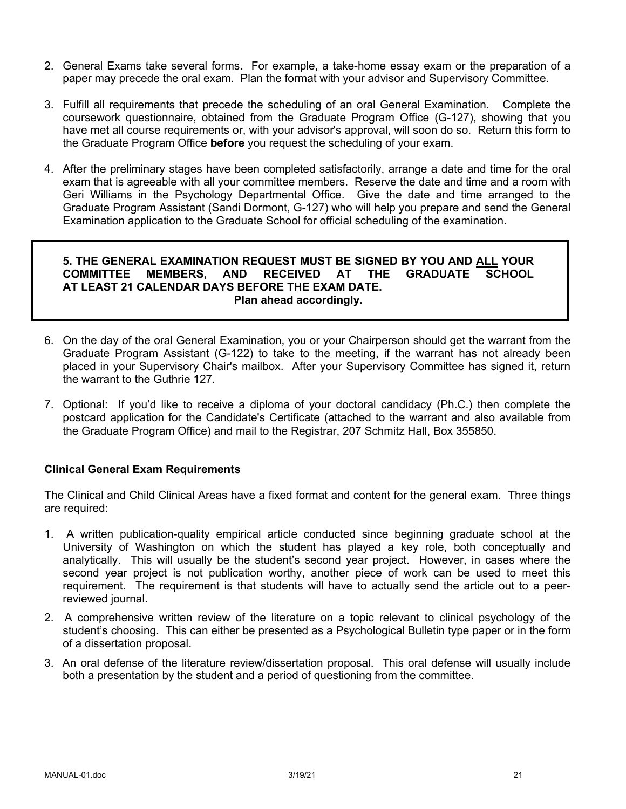- 2. General Exams take several forms. For example, a take-home essay exam or the preparation of a paper may precede the oral exam. Plan the format with your advisor and Supervisory Committee.
- 3. Fulfill all requirements that precede the scheduling of an oral General Examination. Complete the coursework questionnaire, obtained from the Graduate Program Office (G-127), showing that you have met all course requirements or, with your advisor's approval, will soon do so. Return this form to the Graduate Program Office **before** you request the scheduling of your exam.
- 4. After the preliminary stages have been completed satisfactorily, arrange a date and time for the oral exam that is agreeable with all your committee members. Reserve the date and time and a room with Geri Williams in the Psychology Departmental Office. Give the date and time arranged to the Graduate Program Assistant (Sandi Dormont, G-127) who will help you prepare and send the General Examination application to the Graduate School for official scheduling of the examination.

## **5. THE GENERAL EXAMINATION REQUEST MUST BE SIGNED BY YOU AND ALL YOUR COMMITTEE MEMBERS, AND RECEIVED AT THE GRADUATE SCHOOL AT LEAST 21 CALENDAR DAYS BEFORE THE EXAM DATE. Plan ahead accordingly.**

- 6. On the day of the oral General Examination, you or your Chairperson should get the warrant from the Graduate Program Assistant (G-122) to take to the meeting, if the warrant has not already been placed in your Supervisory Chair's mailbox. After your Supervisory Committee has signed it, return the warrant to the Guthrie 127.
- 7. Optional: If you'd like to receive a diploma of your doctoral candidacy (Ph.C.) then complete the postcard application for the Candidate's Certificate (attached to the warrant and also available from the Graduate Program Office) and mail to the Registrar, 207 Schmitz Hall, Box 355850.

# **Clinical General Exam Requirements**

The Clinical and Child Clinical Areas have a fixed format and content for the general exam. Three things are required:

- 1. A written publication-quality empirical article conducted since beginning graduate school at the University of Washington on which the student has played a key role, both conceptually and analytically. This will usually be the student's second year project. However, in cases where the second year project is not publication worthy, another piece of work can be used to meet this requirement. The requirement is that students will have to actually send the article out to a peerreviewed journal.
- 2. A comprehensive written review of the literature on a topic relevant to clinical psychology of the student's choosing. This can either be presented as a Psychological Bulletin type paper or in the form of a dissertation proposal.
- 3. An oral defense of the literature review/dissertation proposal. This oral defense will usually include both a presentation by the student and a period of questioning from the committee.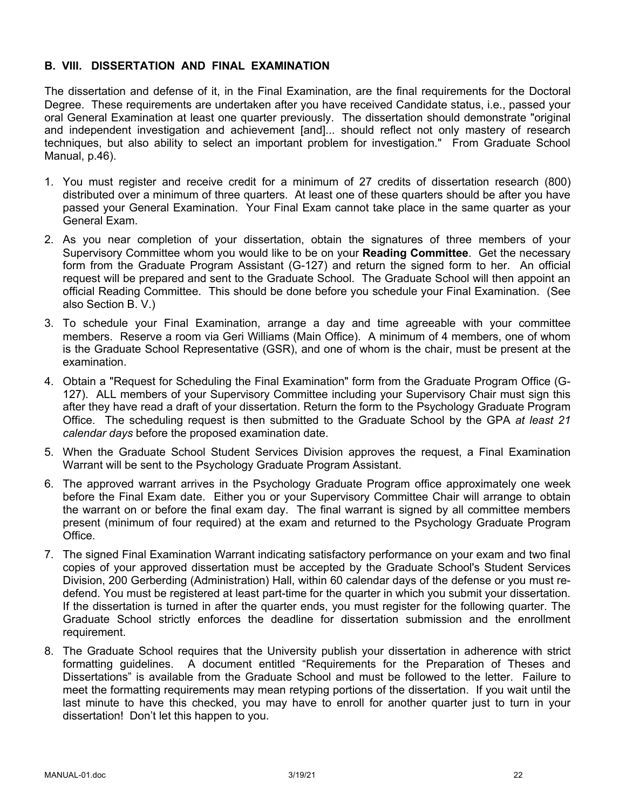#### **B. VIII. DISSERTATION AND FINAL EXAMINATION**

The dissertation and defense of it, in the Final Examination, are the final requirements for the Doctoral Degree. These requirements are undertaken after you have received Candidate status, i.e., passed your oral General Examination at least one quarter previously. The dissertation should demonstrate "original and independent investigation and achievement [and]... should reflect not only mastery of research techniques, but also ability to select an important problem for investigation." From Graduate School Manual, p.46).

- 1. You must register and receive credit for a minimum of 27 credits of dissertation research (800) distributed over a minimum of three quarters. At least one of these quarters should be after you have passed your General Examination. Your Final Exam cannot take place in the same quarter as your General Exam.
- 2. As you near completion of your dissertation, obtain the signatures of three members of your Supervisory Committee whom you would like to be on your **Reading Committee**. Get the necessary form from the Graduate Program Assistant (G-127) and return the signed form to her. An official request will be prepared and sent to the Graduate School. The Graduate School will then appoint an official Reading Committee. This should be done before you schedule your Final Examination. (See also Section B. V.)
- 3. To schedule your Final Examination, arrange a day and time agreeable with your committee members. Reserve a room via Geri Williams (Main Office). A minimum of 4 members, one of whom is the Graduate School Representative (GSR), and one of whom is the chair, must be present at the examination.
- 4. Obtain a "Request for Scheduling the Final Examination" form from the Graduate Program Office (G-127). ALL members of your Supervisory Committee including your Supervisory Chair must sign this after they have read a draft of your dissertation. Return the form to the Psychology Graduate Program Office. The scheduling request is then submitted to the Graduate School by the GPA *at least 21 calendar days* before the proposed examination date.
- 5. When the Graduate School Student Services Division approves the request, a Final Examination Warrant will be sent to the Psychology Graduate Program Assistant.
- 6. The approved warrant arrives in the Psychology Graduate Program office approximately one week before the Final Exam date. Either you or your Supervisory Committee Chair will arrange to obtain the warrant on or before the final exam day. The final warrant is signed by all committee members present (minimum of four required) at the exam and returned to the Psychology Graduate Program Office.
- 7. The signed Final Examination Warrant indicating satisfactory performance on your exam and two final copies of your approved dissertation must be accepted by the Graduate School's Student Services Division, 200 Gerberding (Administration) Hall, within 60 calendar days of the defense or you must redefend. You must be registered at least part-time for the quarter in which you submit your dissertation. If the dissertation is turned in after the quarter ends, you must register for the following quarter. The Graduate School strictly enforces the deadline for dissertation submission and the enrollment requirement.
- 8. The Graduate School requires that the University publish your dissertation in adherence with strict formatting guidelines. A document entitled "Requirements for the Preparation of Theses and Dissertations" is available from the Graduate School and must be followed to the letter. Failure to meet the formatting requirements may mean retyping portions of the dissertation. If you wait until the last minute to have this checked, you may have to enroll for another quarter just to turn in your dissertation! Don't let this happen to you.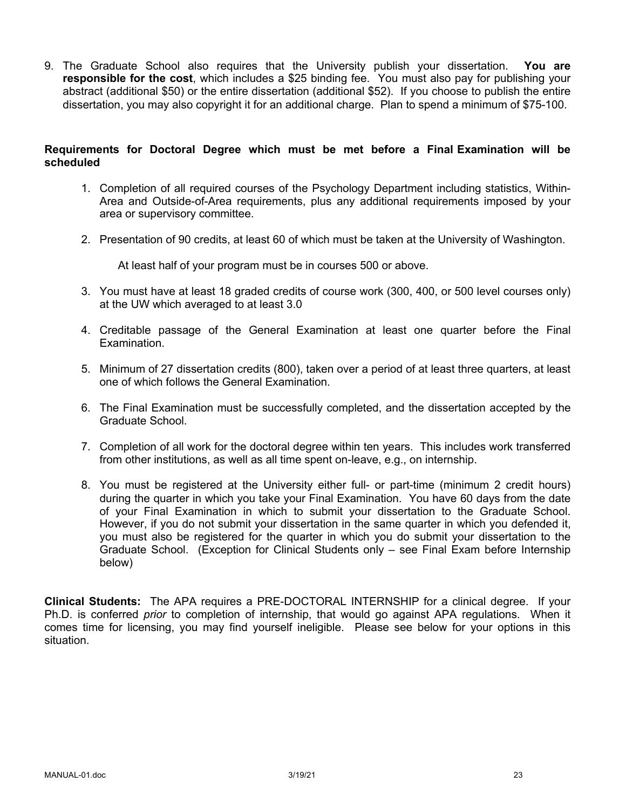9. The Graduate School also requires that the University publish your dissertation. **You are responsible for the cost**, which includes a \$25 binding fee. You must also pay for publishing your abstract (additional \$50) or the entire dissertation (additional \$52). If you choose to publish the entire dissertation, you may also copyright it for an additional charge. Plan to spend a minimum of \$75-100.

## **Requirements for Doctoral Degree which must be met before a Final Examination will be scheduled**

- 1. Completion of all required courses of the Psychology Department including statistics, Within-Area and Outside-of-Area requirements, plus any additional requirements imposed by your area or supervisory committee.
- 2. Presentation of 90 credits, at least 60 of which must be taken at the University of Washington.

At least half of your program must be in courses 500 or above.

- 3. You must have at least 18 graded credits of course work (300, 400, or 500 level courses only) at the UW which averaged to at least 3.0
- 4. Creditable passage of the General Examination at least one quarter before the Final Examination.
- 5. Minimum of 27 dissertation credits (800), taken over a period of at least three quarters, at least one of which follows the General Examination.
- 6. The Final Examination must be successfully completed, and the dissertation accepted by the Graduate School.
- 7. Completion of all work for the doctoral degree within ten years. This includes work transferred from other institutions, as well as all time spent on-leave, e.g., on internship.
- 8. You must be registered at the University either full- or part-time (minimum 2 credit hours) during the quarter in which you take your Final Examination. You have 60 days from the date of your Final Examination in which to submit your dissertation to the Graduate School. However, if you do not submit your dissertation in the same quarter in which you defended it, you must also be registered for the quarter in which you do submit your dissertation to the Graduate School. (Exception for Clinical Students only – see Final Exam before Internship below)

**Clinical Students:** The APA requires a PRE-DOCTORAL INTERNSHIP for a clinical degree. If your Ph.D. is conferred *prior* to completion of internship, that would go against APA regulations. When it comes time for licensing, you may find yourself ineligible. Please see below for your options in this situation.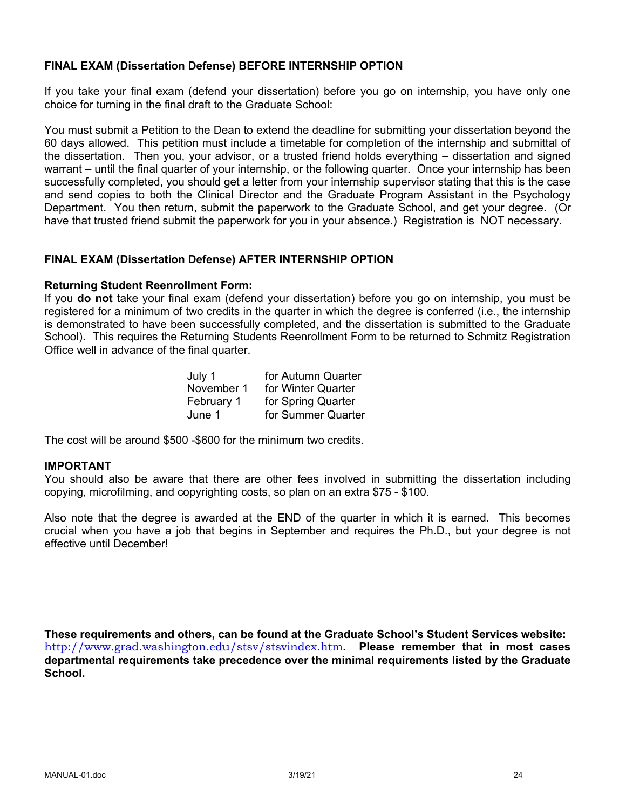## **FINAL EXAM (Dissertation Defense) BEFORE INTERNSHIP OPTION**

If you take your final exam (defend your dissertation) before you go on internship, you have only one choice for turning in the final draft to the Graduate School:

You must submit a Petition to the Dean to extend the deadline for submitting your dissertation beyond the 60 days allowed. This petition must include a timetable for completion of the internship and submittal of the dissertation. Then you, your advisor, or a trusted friend holds everything – dissertation and signed warrant – until the final quarter of your internship, or the following quarter. Once your internship has been successfully completed, you should get a letter from your internship supervisor stating that this is the case and send copies to both the Clinical Director and the Graduate Program Assistant in the Psychology Department. You then return, submit the paperwork to the Graduate School, and get your degree. (Or have that trusted friend submit the paperwork for you in your absence.) Registration is NOT necessary.

#### **FINAL EXAM (Dissertation Defense) AFTER INTERNSHIP OPTION**

#### **Returning Student Reenrollment Form:**

If you **do not** take your final exam (defend your dissertation) before you go on internship, you must be registered for a minimum of two credits in the quarter in which the degree is conferred (i.e., the internship is demonstrated to have been successfully completed, and the dissertation is submitted to the Graduate School). This requires the Returning Students Reenrollment Form to be returned to Schmitz Registration Office well in advance of the final quarter.

| July 1     | for Autumn Quarter |
|------------|--------------------|
| November 1 | for Winter Quarter |
| February 1 | for Spring Quarter |
| June 1     | for Summer Quarter |

The cost will be around \$500 -\$600 for the minimum two credits.

#### **IMPORTANT**

You should also be aware that there are other fees involved in submitting the dissertation including copying, microfilming, and copyrighting costs, so plan on an extra \$75 - \$100.

Also note that the degree is awarded at the END of the quarter in which it is earned. This becomes crucial when you have a job that begins in September and requires the Ph.D., but your degree is not effective until December!

**These requirements and others, can be found at the Graduate School's Student Services website:** http://www.grad.washington.edu/stsv/stsvindex.htm**. Please remember that in most cases departmental requirements take precedence over the minimal requirements listed by the Graduate School.**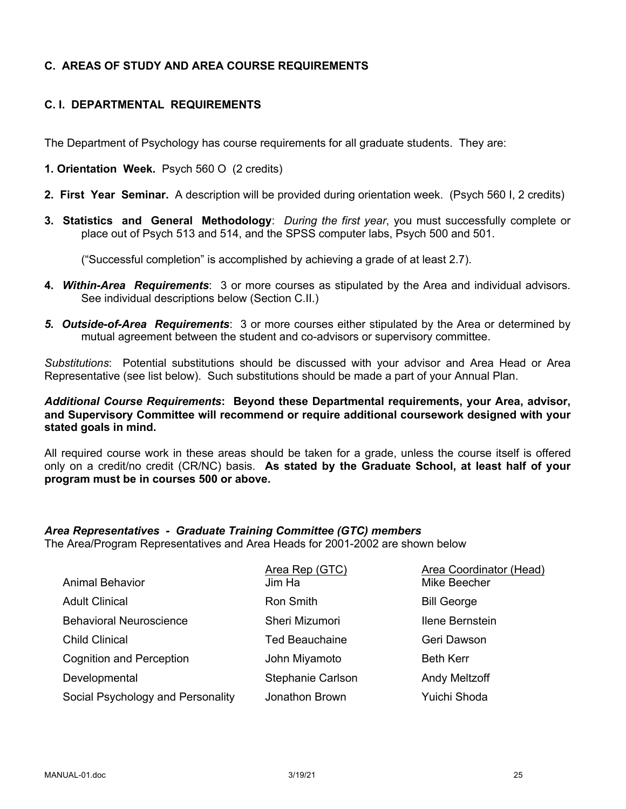# **C. AREAS OF STUDY AND AREA COURSE REQUIREMENTS**

# **C. I. DEPARTMENTAL REQUIREMENTS**

The Department of Psychology has course requirements for all graduate students. They are:

- **1. Orientation Week.** Psych 560 O (2 credits)
- **2. First Year Seminar.** A description will be provided during orientation week. (Psych 560 I, 2 credits)
- **3. Statistics and General Methodology**: *During the first year*, you must successfully complete or place out of Psych 513 and 514, and the SPSS computer labs, Psych 500 and 501.

("Successful completion" is accomplished by achieving a grade of at least 2.7).

- **4.** *Within-Area Requirements*: 3 or more courses as stipulated by the Area and individual advisors. See individual descriptions below (Section C.II.)
- *5. Outside-of-Area Requirements*: 3 or more courses either stipulated by the Area or determined by mutual agreement between the student and co-advisors or supervisory committee.

*Substitutions*: Potential substitutions should be discussed with your advisor and Area Head or Area Representative (see list below). Such substitutions should be made a part of your Annual Plan.

*Additional Course Requirements***: Beyond these Departmental requirements, your Area, advisor, and Supervisory Committee will recommend or require additional coursework designed with your stated goals in mind.**

All required course work in these areas should be taken for a grade, unless the course itself is offered only on a credit/no credit (CR/NC) basis. **As stated by the Graduate School, at least half of your program must be in courses 500 or above.**

# *Area Representatives - Graduate Training Committee (GTC) members*

The Area/Program Representatives and Area Heads for 2001-2002 are shown below

|                                   | Area Rep (GTC)        | Area Coordinator (Head) |
|-----------------------------------|-----------------------|-------------------------|
| <b>Animal Behavior</b>            | Jim Ha                | Mike Beecher            |
| <b>Adult Clinical</b>             | Ron Smith             | <b>Bill George</b>      |
| <b>Behavioral Neuroscience</b>    | Sheri Mizumori        | Ilene Bernstein         |
| <b>Child Clinical</b>             | <b>Ted Beauchaine</b> | Geri Dawson             |
| <b>Cognition and Perception</b>   | John Miyamoto         | <b>Beth Kerr</b>        |
| Developmental                     | Stephanie Carlson     | <b>Andy Meltzoff</b>    |
| Social Psychology and Personality | Jonathon Brown        | Yuichi Shoda            |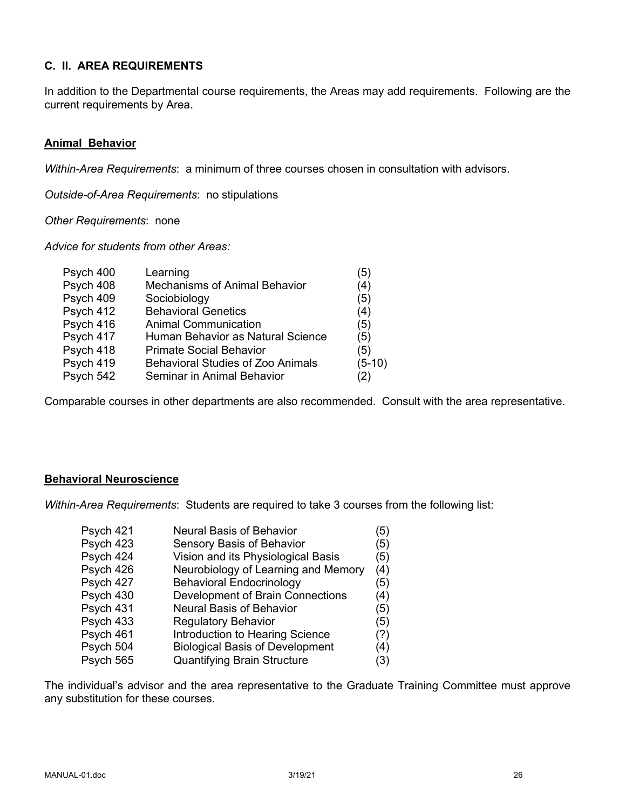# **C. II. AREA REQUIREMENTS**

In addition to the Departmental course requirements, the Areas may add requirements. Following are the current requirements by Area.

## **Animal Behavior**

*Within-Area Requirements*: a minimum of three courses chosen in consultation with advisors.

*Outside-of-Area Requirements*: no stipulations

*Other Requirements*: none

*Advice for students from other Areas:*

| Psych 400 | Learning                                 | (5)      |
|-----------|------------------------------------------|----------|
| Psych 408 | <b>Mechanisms of Animal Behavior</b>     | (4)      |
| Psych 409 | Sociobiology                             | (5)      |
| Psych 412 | <b>Behavioral Genetics</b>               | (4)      |
| Psych 416 | <b>Animal Communication</b>              | (5)      |
| Psych 417 | Human Behavior as Natural Science        | (5)      |
| Psych 418 | <b>Primate Social Behavior</b>           | (5)      |
| Psych 419 | <b>Behavioral Studies of Zoo Animals</b> | $(5-10)$ |
| Psych 542 | Seminar in Animal Behavior               | (2)      |
|           |                                          |          |

Comparable courses in other departments are also recommended. Consult with the area representative.

# **Behavioral Neuroscience**

*Within-Area Requirements*: Students are required to take 3 courses from the following list:

| (5)                                                                                                                                                                                                                                                                                                                                                                                                  |
|------------------------------------------------------------------------------------------------------------------------------------------------------------------------------------------------------------------------------------------------------------------------------------------------------------------------------------------------------------------------------------------------------|
| (5)                                                                                                                                                                                                                                                                                                                                                                                                  |
| (5)                                                                                                                                                                                                                                                                                                                                                                                                  |
| (4)                                                                                                                                                                                                                                                                                                                                                                                                  |
| (5)                                                                                                                                                                                                                                                                                                                                                                                                  |
| (4)                                                                                                                                                                                                                                                                                                                                                                                                  |
| (5)                                                                                                                                                                                                                                                                                                                                                                                                  |
| (5)                                                                                                                                                                                                                                                                                                                                                                                                  |
| (?)                                                                                                                                                                                                                                                                                                                                                                                                  |
| (4)                                                                                                                                                                                                                                                                                                                                                                                                  |
| (3)                                                                                                                                                                                                                                                                                                                                                                                                  |
| <b>Neural Basis of Behavior</b><br>Sensory Basis of Behavior<br>Vision and its Physiological Basis<br>Neurobiology of Learning and Memory<br><b>Behavioral Endocrinology</b><br>Development of Brain Connections<br><b>Neural Basis of Behavior</b><br><b>Regulatory Behavior</b><br>Introduction to Hearing Science<br><b>Biological Basis of Development</b><br><b>Quantifying Brain Structure</b> |

The individual's advisor and the area representative to the Graduate Training Committee must approve any substitution for these courses.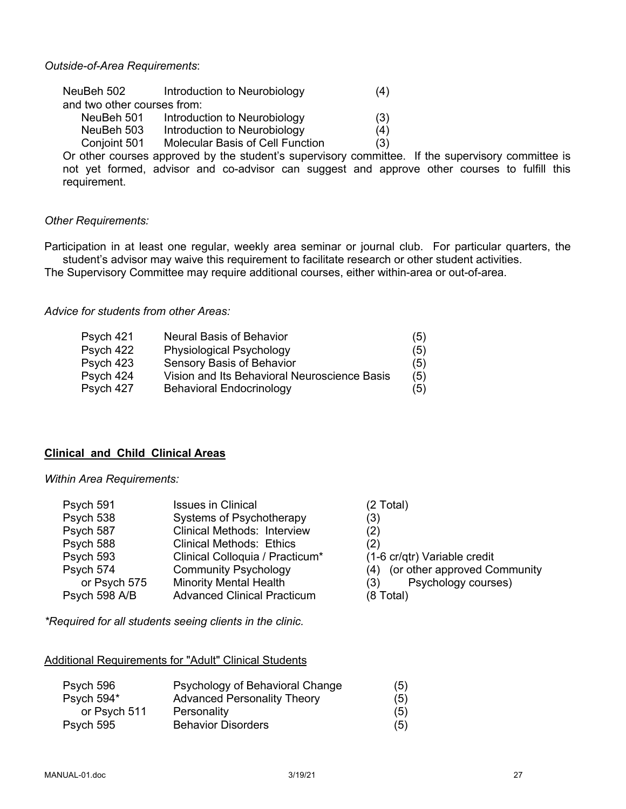#### *Outside-of-Area Requirements*:

| NeuBeh 502                  | Introduction to Neurobiology            | (4) |
|-----------------------------|-----------------------------------------|-----|
| and two other courses from: |                                         |     |
| NeuBeh 501                  | Introduction to Neurobiology            | (3) |
| NeuBeh 503                  | Introduction to Neurobiology            | (4) |
| Conjoint 501                | <b>Molecular Basis of Cell Function</b> | (3) |

Or other courses approved by the student's supervisory committee. If the supervisory committee is not yet formed, advisor and co-advisor can suggest and approve other courses to fulfill this requirement.

#### *Other Requirements:*

Participation in at least one regular, weekly area seminar or journal club. For particular quarters, the student's advisor may waive this requirement to facilitate research or other student activities.

The Supervisory Committee may require additional courses, either within-area or out-of-area.

*Advice for students from other Areas:*

| <b>Neural Basis of Behavior</b>              | (5) |
|----------------------------------------------|-----|
| <b>Physiological Psychology</b>              | (5) |
| <b>Sensory Basis of Behavior</b>             | (5) |
| Vision and Its Behavioral Neuroscience Basis | (5) |
| <b>Behavioral Endocrinology</b>              | (5) |
|                                              |     |

#### **Clinical and Child Clinical Areas**

#### *Within Area Requirements:*

| Psych 591     | <b>Issues in Clinical</b>          | (2 Total)                        |
|---------------|------------------------------------|----------------------------------|
| Psych 538     | Systems of Psychotherapy           | (3)                              |
| Psych 587     | Clinical Methods: Interview        | (2)                              |
| Psych 588     | <b>Clinical Methods: Ethics</b>    | (2)                              |
| Psych 593     | Clinical Colloquia / Practicum*    | (1-6 cr/qtr) Variable credit     |
| Psych 574     | <b>Community Psychology</b>        | (4) (or other approved Community |
| or Psych 575  | <b>Minority Mental Health</b>      | Psychology courses)<br>(3)       |
| Psych 598 A/B | <b>Advanced Clinical Practicum</b> | $(8 \text{ Total})$              |

*\*Required for all students seeing clients in the clinic.*

#### Additional Requirements for "Adult" Clinical Students

| Psych 596    | Psychology of Behavioral Change    | (5) |
|--------------|------------------------------------|-----|
| Psych 594*   | <b>Advanced Personality Theory</b> | (5) |
| or Psych 511 | Personality                        | (5) |
| Psych 595    | <b>Behavior Disorders</b>          | (5) |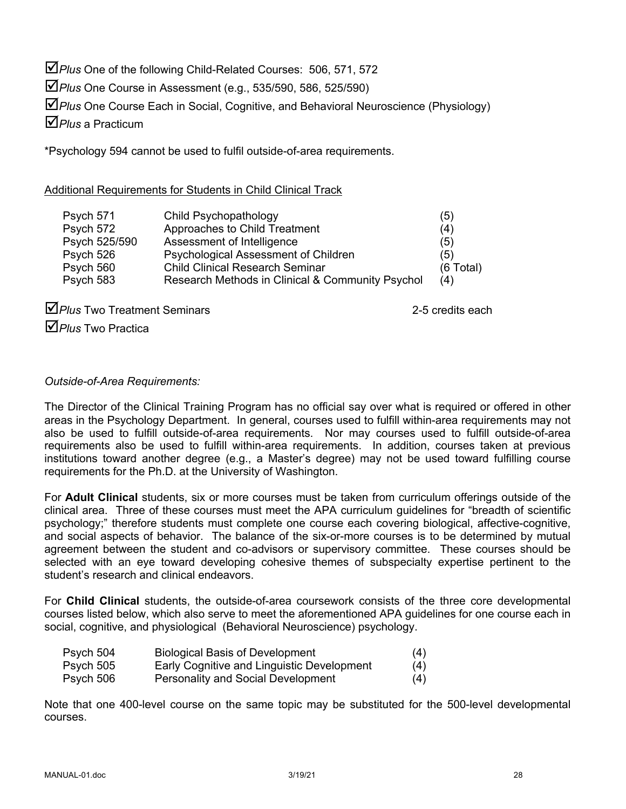$\Delta$  Plus One of the following Child-Related Courses: 506, 571, 572

þ*Plus* One Course in Assessment (e.g., 535/590, 586, 525/590)

þ*Plus* One Course Each in Social, Cognitive, and Behavioral Neuroscience (Physiology)

þ*Plus* a Practicum

\*Psychology 594 cannot be used to fulfil outside-of-area requirements.

# Additional Requirements for Students in Child Clinical Track

| Psych 571     | Child Psychopathology                            | (5)         |
|---------------|--------------------------------------------------|-------------|
| Psych 572     | Approaches to Child Treatment                    | (4)         |
| Psych 525/590 | Assessment of Intelligence                       | (5)         |
| Psych 526     | Psychological Assessment of Children             | (5)         |
| Psych 560     | <b>Child Clinical Research Seminar</b>           | $(6$ Total) |
| Psych 583     | Research Methods in Clinical & Community Psychol | (4)         |

**DPlus** Two Treatment Seminars 2-5 credits each þ*Plus* Two Practica

*Outside-of-Area Requirements:*

The Director of the Clinical Training Program has no official say over what is required or offered in other areas in the Psychology Department. In general, courses used to fulfill within-area requirements may not also be used to fulfill outside-of-area requirements. Nor may courses used to fulfill outside-of-area requirements also be used to fulfill within-area requirements. In addition, courses taken at previous institutions toward another degree (e.g., a Master's degree) may not be used toward fulfilling course requirements for the Ph.D. at the University of Washington.

For **Adult Clinical** students, six or more courses must be taken from curriculum offerings outside of the clinical area. Three of these courses must meet the APA curriculum guidelines for "breadth of scientific psychology;" therefore students must complete one course each covering biological, affective-cognitive, and social aspects of behavior. The balance of the six-or-more courses is to be determined by mutual agreement between the student and co-advisors or supervisory committee. These courses should be selected with an eye toward developing cohesive themes of subspecialty expertise pertinent to the student's research and clinical endeavors.

For **Child Clinical** students, the outside-of-area coursework consists of the three core developmental courses listed below, which also serve to meet the aforementioned APA guidelines for one course each in social, cognitive, and physiological (Behavioral Neuroscience) psychology.

| Psych 504 | <b>Biological Basis of Development</b>     | (4) |
|-----------|--------------------------------------------|-----|
| Psych 505 | Early Cognitive and Linguistic Development | (4) |
| Psych 506 | <b>Personality and Social Development</b>  | (4) |

Note that one 400-level course on the same topic may be substituted for the 500-level developmental courses.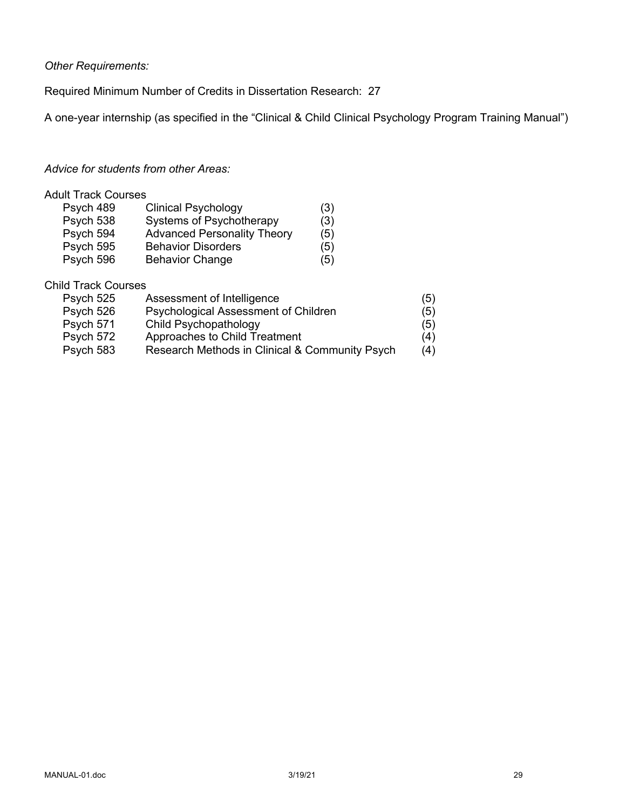*Other Requirements:*

Required Minimum Number of Credits in Dissertation Research: 27

A one-year internship (as specified in the "Clinical & Child Clinical Psychology Program Training Manual")

# *Advice for students from other Areas:*

# Adult Track Courses

| Psych 489 | <b>Clinical Psychology</b>         | (3) |
|-----------|------------------------------------|-----|
| Psych 538 | Systems of Psychotherapy           | (3) |
| Psych 594 | <b>Advanced Personality Theory</b> | (5) |
| Psych 595 | <b>Behavior Disorders</b>          | (5) |
| Psych 596 | <b>Behavior Change</b>             | (5) |

# Child Track Courses

| Psych 525 | Assessment of Intelligence                     | (5) |
|-----------|------------------------------------------------|-----|
| Psych 526 | Psychological Assessment of Children           | (5) |
| Psych 571 | Child Psychopathology                          | (5) |
| Psych 572 | Approaches to Child Treatment                  | (4) |
| Psych 583 | Research Methods in Clinical & Community Psych | (4) |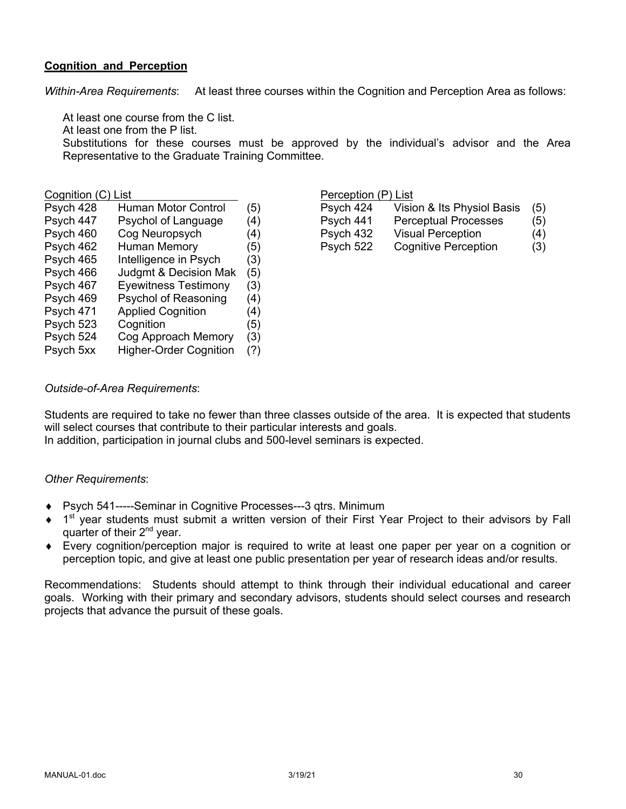## **Cognition and Perception**

*Within-Area Requirements*: At least three courses within the Cognition and Perception Area as follows:

At least one course from the C list.

At least one from the P list.

Substitutions for these courses must be approved by the individual's advisor and the Area Representative to the Graduate Training Committee.

| Psych 428 | <b>Human Motor Control</b>    | (5) |
|-----------|-------------------------------|-----|
| Psych 447 | Psychol of Language           | (4) |
| Psych 460 | Cog Neuropsych                | (4) |
| Psych 462 | <b>Human Memory</b>           | (5) |
| Psych 465 | Intelligence in Psych         | (3) |
| Psych 466 | Judgmt & Decision Mak         | (5) |
| Psych 467 | <b>Eyewitness Testimony</b>   | (3) |
| Psych 469 | Psychol of Reasoning          | (4) |
| Psych 471 | <b>Applied Cognition</b>      | (4) |
| Psych 523 | Cognition                     | (5) |
| Psych 524 | Cog Approach Memory           | (3) |
| Psych 5xx | <b>Higher-Order Cognition</b> | (?) |

## Cognition (C) List **Perception** (P) List

| Psych 428 | Human Motor Control | (5) | Psych 424 | Vision & Its Physiol Basis  | (5) |
|-----------|---------------------|-----|-----------|-----------------------------|-----|
| Psych 447 | Psychol of Language | (4) | Psych 441 | <b>Perceptual Processes</b> | (5) |
| Psych 460 | Cog Neuropsych      | (4) | Psych 432 | Visual Perception           | (4) |
| Psych 462 | Human Memory        | (5) | Psych 522 | Cognitive Perception        | (3) |
|           |                     |     |           |                             |     |

# *Outside-of-Area Requirements*:

Students are required to take no fewer than three classes outside of the area. It is expected that students will select courses that contribute to their particular interests and goals.

In addition, participation in journal clubs and 500-level seminars is expected.

#### *Other Requirements*:

- ◆ Psych 541-----Seminar in Cognitive Processes---3 qtrs. Minimum
- $\bullet$  1<sup>st</sup> year students must submit a written version of their First Year Project to their advisors by Fall quarter of their 2<sup>nd</sup> year.
- Every cognition/perception major is required to write at least one paper per year on a cognition or perception topic, and give at least one public presentation per year of research ideas and/or results.

Recommendations: Students should attempt to think through their individual educational and career goals. Working with their primary and secondary advisors, students should select courses and research projects that advance the pursuit of these goals.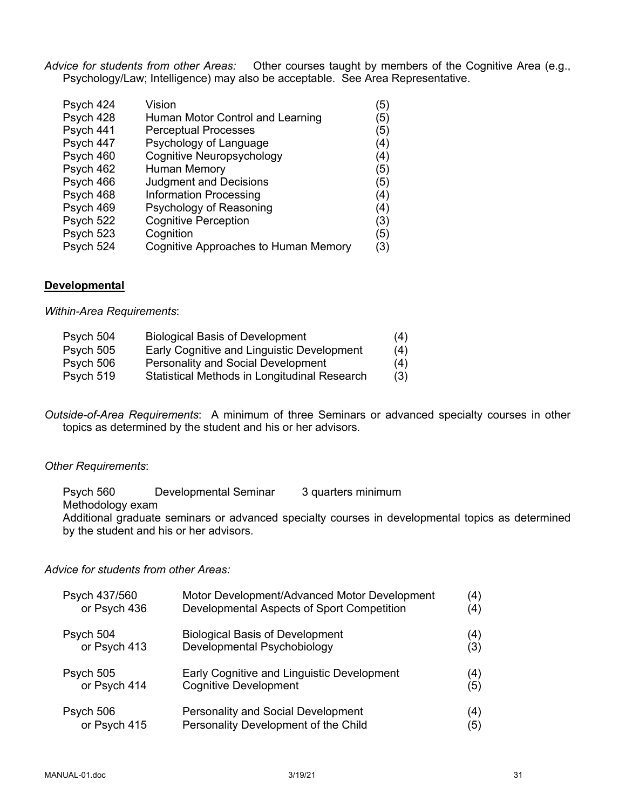*Advice for students from other Areas:* Other courses taught by members of the Cognitive Area (e.g., Psychology/Law; Intelligence) may also be acceptable. See Area Representative.

| Psych 424 | Vision                                      | (5) |
|-----------|---------------------------------------------|-----|
| Psych 428 | Human Motor Control and Learning            | (5) |
| Psych 441 | <b>Perceptual Processes</b>                 | (5) |
| Psych 447 | Psychology of Language                      | (4) |
| Psych 460 | <b>Cognitive Neuropsychology</b>            | (4) |
| Psych 462 | <b>Human Memory</b>                         | (5) |
| Psych 466 | <b>Judgment and Decisions</b>               | (5) |
| Psych 468 | <b>Information Processing</b>               | (4) |
| Psych 469 | Psychology of Reasoning                     | (4) |
| Psych 522 | <b>Cognitive Perception</b>                 | (3) |
| Psych 523 | Cognition                                   | (5) |
| Psych 524 | <b>Cognitive Approaches to Human Memory</b> | (3) |

#### **Developmental**

*Within-Area Requirements*:

| Psych 504 | <b>Biological Basis of Development</b>       | (4) |
|-----------|----------------------------------------------|-----|
| Psych 505 | Early Cognitive and Linguistic Development   | (4) |
| Psych 506 | <b>Personality and Social Development</b>    | (4) |
| Psych 519 | Statistical Methods in Longitudinal Research | (3) |

*Outside-of-Area Requirements*: A minimum of three Seminars or advanced specialty courses in other topics as determined by the student and his or her advisors.

#### *Other Requirements*:

Psych 560 Developmental Seminar 3 quarters minimum Methodology exam Additional graduate seminars or advanced specialty courses in developmental topics as determined by the student and his or her advisors.

#### *Advice for students from other Areas:*

| Psych 437/560 | Motor Development/Advanced Motor Development | (4) |
|---------------|----------------------------------------------|-----|
| or Psych 436  | Developmental Aspects of Sport Competition   | (4) |
| Psych 504     | <b>Biological Basis of Development</b>       | (4) |
| or Psych 413  | Developmental Psychobiology                  | (3) |
| Psych 505     | Early Cognitive and Linguistic Development   | (4) |
| or Psych 414  | <b>Cognitive Development</b>                 | (5) |
| Psych 506     | <b>Personality and Social Development</b>    | (4) |
| or Psych 415  | Personality Development of the Child         | 35) |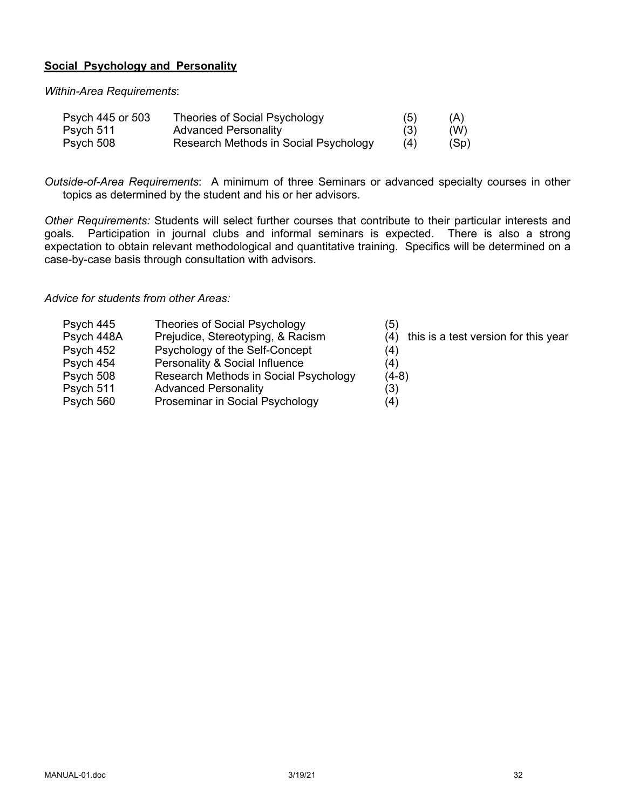## **Social Psychology and Personality**

*Within-Area Requirements*:

| Psych 445 or 503 | Theories of Social Psychology         | (5) | (A)  |
|------------------|---------------------------------------|-----|------|
| Psych 511        | <b>Advanced Personality</b>           | (3) | (W)  |
| Psych 508        | Research Methods in Social Psychology | (4) | (Sp) |

*Outside-of-Area Requirements*: A minimum of three Seminars or advanced specialty courses in other topics as determined by the student and his or her advisors.

*Other Requirements:* Students will select further courses that contribute to their particular interests and goals. Participation in journal clubs and informal seminars is expected. There is also a strong expectation to obtain relevant methodological and quantitative training. Specifics will be determined on a case-by-case basis through consultation with advisors.

#### *Advice for students from other Areas:*

| <b>Theories of Social Psychology</b><br>Psych 445<br>(5)                                       |  |
|------------------------------------------------------------------------------------------------|--|
| Psych 448A<br>this is a test version for this year<br>Prejudice, Stereotyping, & Racism<br>(4) |  |
| Psychology of the Self-Concept<br>Psych 452<br>(4)                                             |  |
| Personality & Social Influence<br>Psych 454<br>(4)                                             |  |
| Research Methods in Social Psychology<br>Psych 508<br>$(4-8)$                                  |  |
| (3)<br>Psych 511<br><b>Advanced Personality</b>                                                |  |
| Proseminar in Social Psychology<br>Psych 560<br>(4)                                            |  |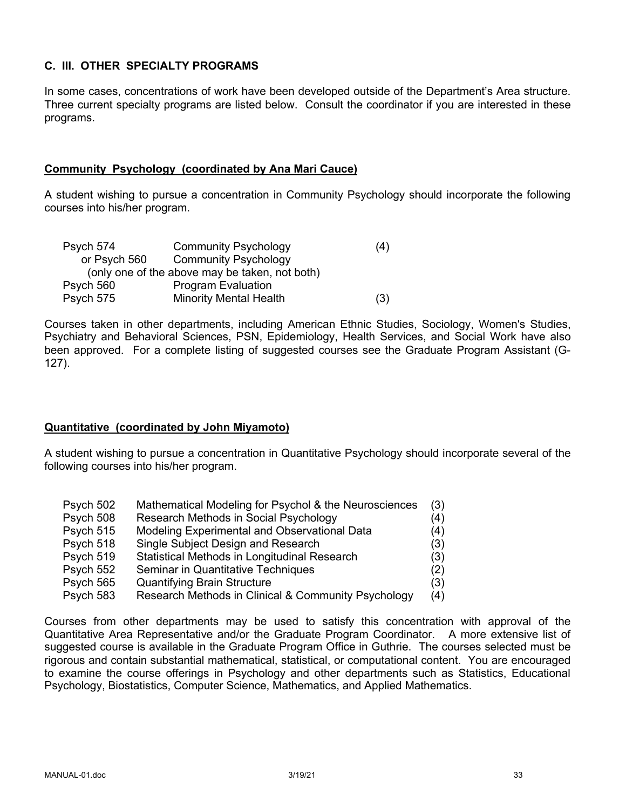# **C. III. OTHER SPECIALTY PROGRAMS**

In some cases, concentrations of work have been developed outside of the Department's Area structure. Three current specialty programs are listed below. Consult the coordinator if you are interested in these programs.

## **Community Psychology (coordinated by Ana Mari Cauce)**

A student wishing to pursue a concentration in Community Psychology should incorporate the following courses into his/her program.

| Psych 574                                      | <b>Community Psychology</b>   | (4) |  |
|------------------------------------------------|-------------------------------|-----|--|
| or Psych 560                                   | <b>Community Psychology</b>   |     |  |
| (only one of the above may be taken, not both) |                               |     |  |
| Psych 560                                      | <b>Program Evaluation</b>     |     |  |
| Psych 575                                      | <b>Minority Mental Health</b> | (3) |  |

Courses taken in other departments, including American Ethnic Studies, Sociology, Women's Studies, Psychiatry and Behavioral Sciences, PSN, Epidemiology, Health Services, and Social Work have also been approved. For a complete listing of suggested courses see the Graduate Program Assistant (G-127).

# **Quantitative (coordinated by John Miyamoto)**

A student wishing to pursue a concentration in Quantitative Psychology should incorporate several of the following courses into his/her program.

| Psych 502 | Mathematical Modeling for Psychol & the Neurosciences | (3) |
|-----------|-------------------------------------------------------|-----|
| Psych 508 | Research Methods in Social Psychology                 | (4) |
| Psych 515 | Modeling Experimental and Observational Data          | (4) |
| Psych 518 | Single Subject Design and Research                    | (3) |
| Psych 519 | Statistical Methods in Longitudinal Research          | (3) |
| Psych 552 | Seminar in Quantitative Techniques                    | (2) |
| Psych 565 | <b>Quantifying Brain Structure</b>                    | (3) |
| Psych 583 | Research Methods in Clinical & Community Psychology   | (4) |

Courses from other departments may be used to satisfy this concentration with approval of the Quantitative Area Representative and/or the Graduate Program Coordinator. A more extensive list of suggested course is available in the Graduate Program Office in Guthrie. The courses selected must be rigorous and contain substantial mathematical, statistical, or computational content. You are encouraged to examine the course offerings in Psychology and other departments such as Statistics, Educational Psychology, Biostatistics, Computer Science, Mathematics, and Applied Mathematics.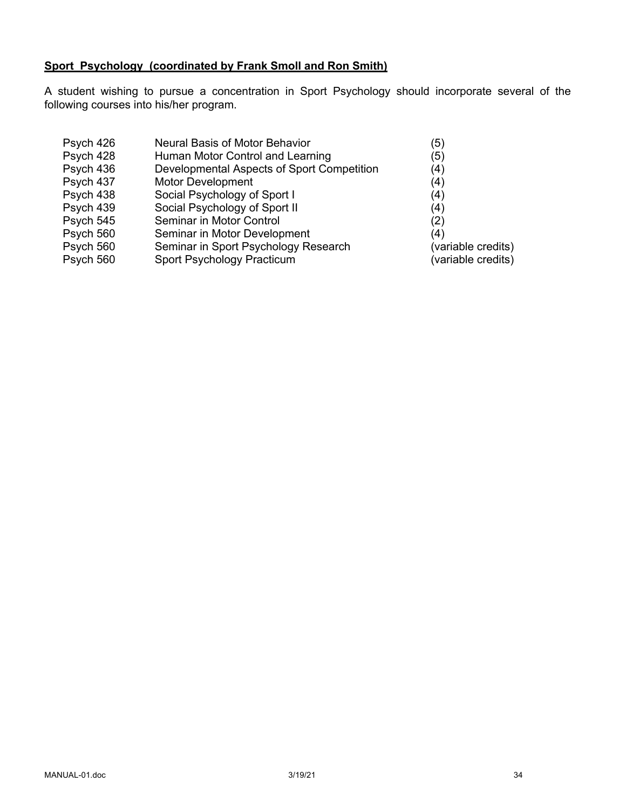# **Sport Psychology (coordinated by Frank Smoll and Ron Smith)**

A student wishing to pursue a concentration in Sport Psychology should incorporate several of the following courses into his/her program.

| Psych 426 | Neural Basis of Motor Behavior             | (5)                |
|-----------|--------------------------------------------|--------------------|
| Psych 428 | Human Motor Control and Learning           | (5)                |
| Psych 436 | Developmental Aspects of Sport Competition | (4)                |
| Psych 437 | <b>Motor Development</b>                   | (4)                |
| Psych 438 | Social Psychology of Sport I               | (4)                |
| Psych 439 | Social Psychology of Sport II              | (4)                |
| Psych 545 | Seminar in Motor Control                   | (2)                |
| Psych 560 | Seminar in Motor Development               | (4)                |
| Psych 560 | Seminar in Sport Psychology Research       | (variable credits) |
| Psych 560 | Sport Psychology Practicum                 | (variable credits) |
|           |                                            |                    |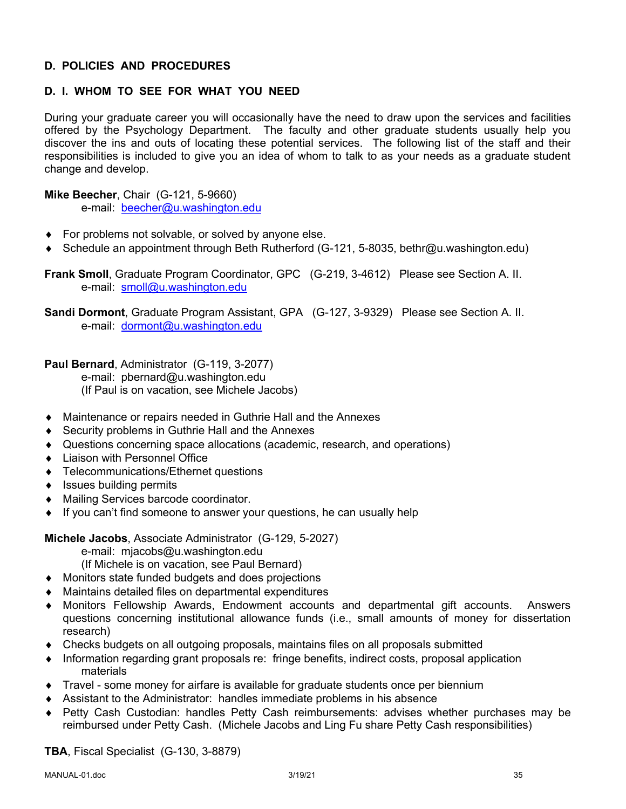# **D. POLICIES AND PROCEDURES**

# **D. I. WHOM TO SEE FOR WHAT YOU NEED**

During your graduate career you will occasionally have the need to draw upon the services and facilities offered by the Psychology Department. The faculty and other graduate students usually help you discover the ins and outs of locating these potential services. The following list of the staff and their responsibilities is included to give you an idea of whom to talk to as your needs as a graduate student change and develop.

**Mike Beecher**, Chair (G-121, 5-9660) e-mail: beecher@u.washington.edu

- $\bullet$  For problems not solvable, or solved by anyone else.
- ◆ Schedule an appointment through Beth Rutherford (G-121, 5-8035, bethr@u.washington.edu)

**Frank Smoll**, Graduate Program Coordinator, GPC (G-219, 3-4612) Please see Section A. II. e-mail: smoll@u.washington.edu

**Sandi Dormont**, Graduate Program Assistant, GPA (G-127, 3-9329) Please see Section A. II. e-mail: dormont@u.washington.edu

**Paul Bernard**, Administrator (G-119, 3-2077)

e-mail: pbernard@u.washington.edu (If Paul is on vacation, see Michele Jacobs)

- ◆ Maintenance or repairs needed in Guthrie Hall and the Annexes
- $\triangle$  Security problems in Guthrie Hall and the Annexes
- Questions concerning space allocations (academic, research, and operations)
- Liaison with Personnel Office
- ◆ Telecommunications/Ethernet questions
- $\bullet$  Issues building permits
- ◆ Mailing Services barcode coordinator.
- $\bullet$  If you can't find someone to answer your questions, he can usually help

**Michele Jacobs**, Associate Administrator (G-129, 5-2027)

- e-mail: mjacobs@u.washington.edu
- (If Michele is on vacation, see Paul Bernard)
- $\bullet$  Monitors state funded budgets and does projections
- $\bullet$  Maintains detailed files on departmental expenditures
- Monitors Fellowship Awards, Endowment accounts and departmental gift accounts. Answers questions concerning institutional allowance funds (i.e., small amounts of money for dissertation research)
- $\bullet$  Checks budgets on all outgoing proposals, maintains files on all proposals submitted
- Information regarding grant proposals re: fringe benefits, indirect costs, proposal application materials
- Travel some money for airfare is available for graduate students once per biennium
- Assistant to the Administrator: handles immediate problems in his absence
- ◆ Petty Cash Custodian: handles Petty Cash reimbursements: advises whether purchases may be reimbursed under Petty Cash. (Michele Jacobs and Ling Fu share Petty Cash responsibilities)

**TBA**, Fiscal Specialist (G-130, 3-8879)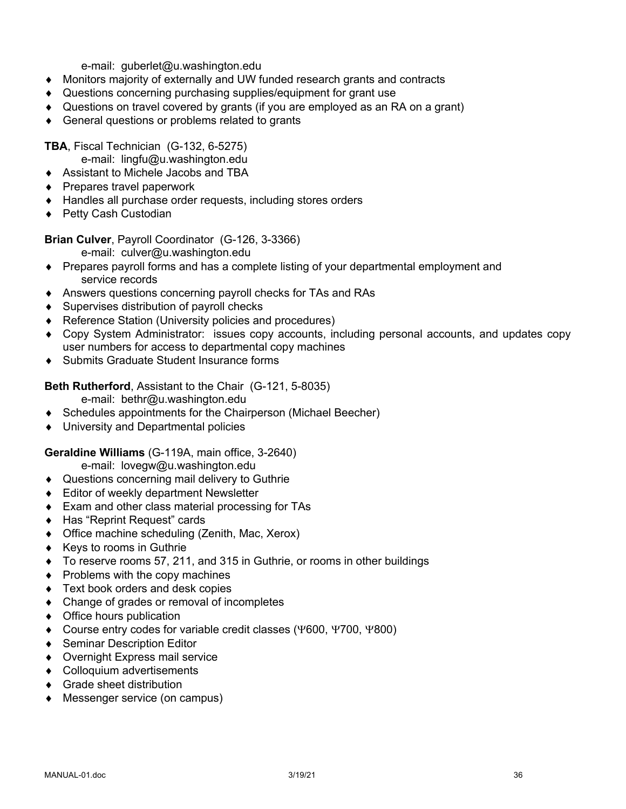e-mail: guberlet@u.washington.edu

- Monitors majority of externally and UW funded research grants and contracts
- ◆ Questions concerning purchasing supplies/equipment for grant use
- Questions on travel covered by grants (if you are employed as an RA on a grant)
- $\triangleleft$  General questions or problems related to grants

**TBA**, Fiscal Technician (G-132, 6-5275)

e-mail: lingfu@u.washington.edu

- ◆ Assistant to Michele Jacobs and TBA
- $\bullet$  Prepares travel paperwork
- $\triangleleft$  Handles all purchase order requests, including stores orders
- ◆ Petty Cash Custodian

**Brian Culver**, Payroll Coordinator (G-126, 3-3366)

- e-mail: culver@u.washington.edu
- Prepares payroll forms and has a complete listing of your departmental employment and service records
- Answers questions concerning payroll checks for TAs and RAs
- $\bullet$  Supervises distribution of payroll checks
- ◆ Reference Station (University policies and procedures)
- Copy System Administrator: issues copy accounts, including personal accounts, and updates copy user numbers for access to departmental copy machines
- ◆ Submits Graduate Student Insurance forms

**Beth Rutherford**, Assistant to the Chair (G-121, 5-8035)

e-mail: bethr@u.washington.edu

- Schedules appointments for the Chairperson (Michael Beecher)
- ◆ University and Departmental policies

**Geraldine Williams** (G-119A, main office, 3-2640)

e-mail: lovegw@u.washington.edu

- ◆ Questions concerning mail delivery to Guthrie
- $\triangleleft$  Editor of weekly department Newsletter
- $\bullet$  Exam and other class material processing for TAs
- ◆ Has "Reprint Request" cards
- $\bullet$  Office machine scheduling (Zenith, Mac, Xerox)
- $\triangleleft$  Keys to rooms in Guthrie
- ◆ To reserve rooms 57, 211, and 315 in Guthrie, or rooms in other buildings
- $\bullet$  Problems with the copy machines
- $\triangleleft$  Text book orders and desk copies
- $\bullet$  Change of grades or removal of incompletes
- $\triangleleft$  Office hours publication
- ◆ Course entry codes for variable credit classes (Y600, Y700, Y800)
- ◆ Seminar Description Editor
- ◆ Overnight Express mail service
- Colloquium advertisements
- $\triangleleft$  Grade sheet distribution
- ◆ Messenger service (on campus)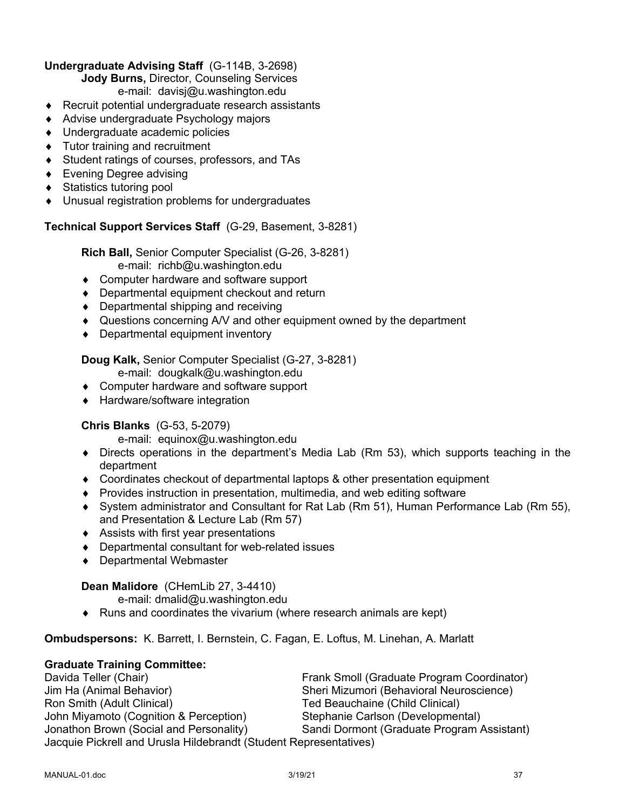# **Undergraduate Advising Staff** (G-114B, 3-2698)

**Jody Burns,** Director, Counseling Services

e-mail: davisj@u.washington.edu

- $\triangle$  Recruit potential undergraduate research assistants
- ◆ Advise undergraduate Psychology majors
- ◆ Undergraduate academic policies
- $\bullet$  Tutor training and recruitment
- ◆ Student ratings of courses, professors, and TAs
- $\bullet$  Evening Degree advising
- ◆ Statistics tutoring pool
- $\bullet$  Unusual registration problems for undergraduates

# **Technical Support Services Staff** (G-29, Basement, 3-8281)

**Rich Ball,** Senior Computer Specialist (G-26, 3-8281) e-mail: richb@u.washington.edu

- ◆ Computer hardware and software support
- $\bullet$  Departmental equipment checkout and return
- $\bullet$  Departmental shipping and receiving
- Questions concerning A/V and other equipment owned by the department
- $\bullet$  Departmental equipment inventory

**Doug Kalk,** Senior Computer Specialist (G-27, 3-8281)

- e-mail: dougkalk@u.washington.edu
- ◆ Computer hardware and software support
- ◆ Hardware/software integration

# **Chris Blanks** (G-53, 5-2079)

e-mail: equinox@u.washington.edu

- $\bullet$  Directs operations in the department's Media Lab (Rm 53), which supports teaching in the department
- $\bullet$  Coordinates checkout of departmental laptops & other presentation equipment
- ◆ Provides instruction in presentation, multimedia, and web editing software
- ¨ System administrator and Consultant for Rat Lab (Rm 51), Human Performance Lab (Rm 55), and Presentation & Lecture Lab (Rm 57)
- $\triangleleft$  Assists with first year presentations
- $\bullet$  Departmental consultant for web-related issues
- ◆ Departmental Webmaster

# **Dean Malidore** (CHemLib 27, 3-4410)

e-mail: dmalid@u.washington.edu

 $\bullet$  Runs and coordinates the vivarium (where research animals are kept)

**Ombudspersons:** K. Barrett, I. Bernstein, C. Fagan, E. Loftus, M. Linehan, A. Marlatt

# **Graduate Training Committee:**

Davida Teller (Chair) Frank Smoll (Graduate Program Coordinator) Jim Ha (Animal Behavior) Sheri Mizumori (Behavioral Neuroscience) Ted Beauchaine (Child Clinical) John Miyamoto (Cognition & Perception) Stephanie Carlson (Developmental) Jonathon Brown (Social and Personality) Sandi Dormont (Graduate Program Assistant) Jacquie Pickrell and Urusla Hildebrandt (Student Representatives)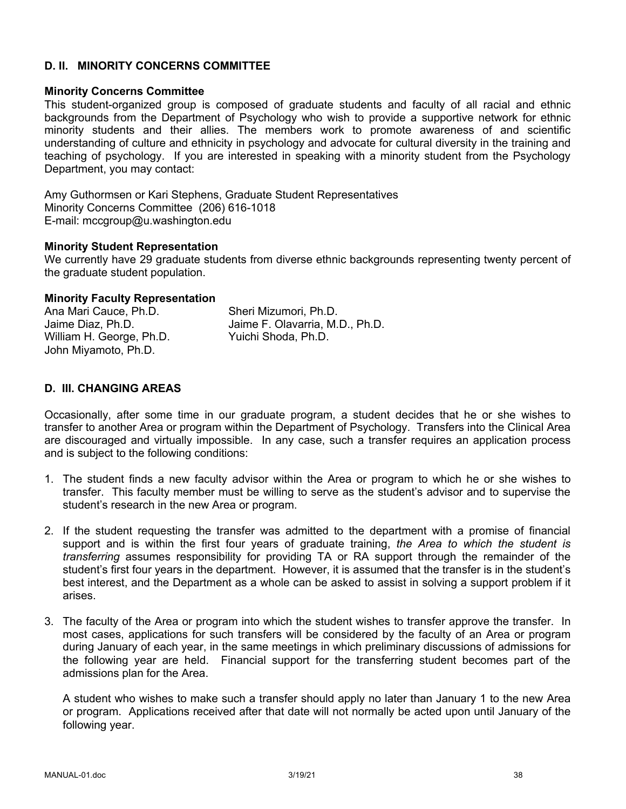#### **D. II. MINORITY CONCERNS COMMITTEE**

#### **Minority Concerns Committee**

This student-organized group is composed of graduate students and faculty of all racial and ethnic backgrounds from the Department of Psychology who wish to provide a supportive network for ethnic minority students and their allies. The members work to promote awareness of and scientific understanding of culture and ethnicity in psychology and advocate for cultural diversity in the training and teaching of psychology. If you are interested in speaking with a minority student from the Psychology Department, you may contact:

Amy Guthormsen or Kari Stephens, Graduate Student Representatives Minority Concerns Committee (206) 616-1018 E-mail: mccgroup@u.washington.edu

#### **Minority Student Representation**

We currently have 29 graduate students from diverse ethnic backgrounds representing twenty percent of the graduate student population.

#### **Minority Faculty Representation**

| Ana Mari Cauce, Ph.D.    | Sheri Mizumori, Ph.D.           |
|--------------------------|---------------------------------|
| Jaime Diaz, Ph.D.        | Jaime F. Olavarria, M.D., Ph.D. |
| William H. George, Ph.D. | Yuichi Shoda, Ph.D.             |
| John Miyamoto, Ph.D.     |                                 |

## **D. III. CHANGING AREAS**

Occasionally, after some time in our graduate program, a student decides that he or she wishes to transfer to another Area or program within the Department of Psychology. Transfers into the Clinical Area are discouraged and virtually impossible. In any case, such a transfer requires an application process and is subject to the following conditions:

- 1. The student finds a new faculty advisor within the Area or program to which he or she wishes to transfer. This faculty member must be willing to serve as the student's advisor and to supervise the student's research in the new Area or program.
- 2. If the student requesting the transfer was admitted to the department with a promise of financial support and is within the first four years of graduate training, *the Area to which the student is transferring* assumes responsibility for providing TA or RA support through the remainder of the student's first four years in the department. However, it is assumed that the transfer is in the student's best interest, and the Department as a whole can be asked to assist in solving a support problem if it arises.
- 3. The faculty of the Area or program into which the student wishes to transfer approve the transfer. In most cases, applications for such transfers will be considered by the faculty of an Area or program during January of each year, in the same meetings in which preliminary discussions of admissions for the following year are held. Financial support for the transferring student becomes part of the admissions plan for the Area.

A student who wishes to make such a transfer should apply no later than January 1 to the new Area or program. Applications received after that date will not normally be acted upon until January of the following year.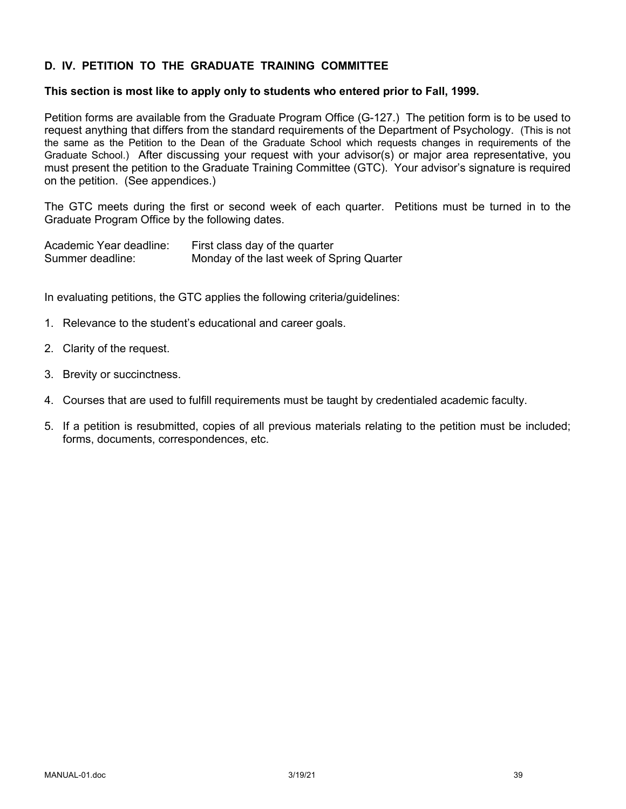# **D. IV. PETITION TO THE GRADUATE TRAINING COMMITTEE**

#### **This section is most like to apply only to students who entered prior to Fall, 1999.**

Petition forms are available from the Graduate Program Office (G-127.) The petition form is to be used to request anything that differs from the standard requirements of the Department of Psychology. (This is not the same as the Petition to the Dean of the Graduate School which requests changes in requirements of the Graduate School.) After discussing your request with your advisor(s) or major area representative, you must present the petition to the Graduate Training Committee (GTC). Your advisor's signature is required on the petition. (See appendices.)

The GTC meets during the first or second week of each quarter. Petitions must be turned in to the Graduate Program Office by the following dates.

| Academic Year deadline: | First class day of the quarter            |
|-------------------------|-------------------------------------------|
| Summer deadline:        | Monday of the last week of Spring Quarter |

In evaluating petitions, the GTC applies the following criteria/guidelines:

- 1. Relevance to the student's educational and career goals.
- 2. Clarity of the request.
- 3. Brevity or succinctness.
- 4. Courses that are used to fulfill requirements must be taught by credentialed academic faculty.
- 5. If a petition is resubmitted, copies of all previous materials relating to the petition must be included; forms, documents, correspondences, etc.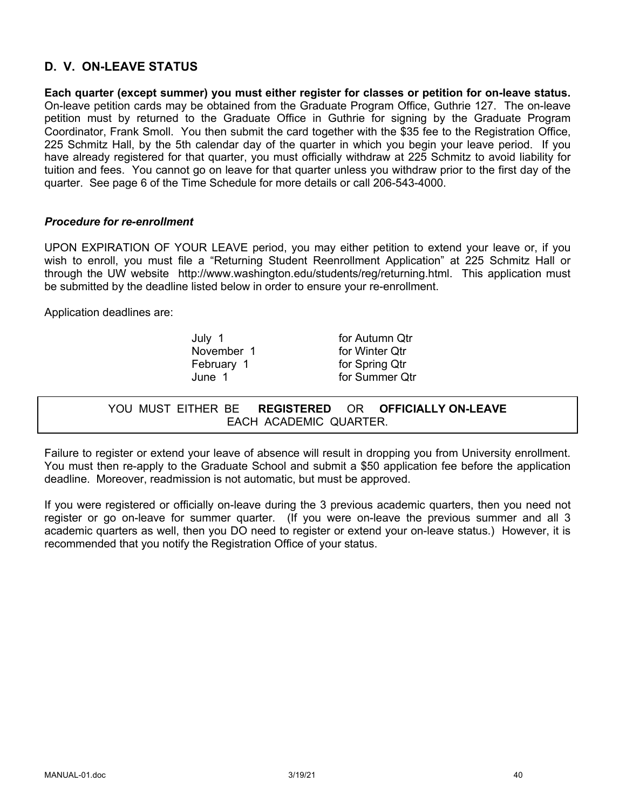# **D. V. ON-LEAVE STATUS**

**Each quarter (except summer) you must either register for classes or petition for on-leave status.** On-leave petition cards may be obtained from the Graduate Program Office, Guthrie 127. The on-leave petition must by returned to the Graduate Office in Guthrie for signing by the Graduate Program Coordinator, Frank Smoll. You then submit the card together with the \$35 fee to the Registration Office, 225 Schmitz Hall, by the 5th calendar day of the quarter in which you begin your leave period. If you have already registered for that quarter, you must officially withdraw at 225 Schmitz to avoid liability for tuition and fees. You cannot go on leave for that quarter unless you withdraw prior to the first day of the quarter. See page 6 of the Time Schedule for more details or call 206-543-4000.

## *Procedure for re-enrollment*

UPON EXPIRATION OF YOUR LEAVE period, you may either petition to extend your leave or, if you wish to enroll, you must file a "Returning Student Reenrollment Application" at 225 Schmitz Hall or through the UW website http://www.washington.edu/students/reg/returning.html. This application must be submitted by the deadline listed below in order to ensure your re-enrollment.

Application deadlines are:

July 1 for Autumn Qtr

November 1 for Winter Otr February 1 for Spring Qtr June 1 for Summer Qtr

YOU MUST EITHER BE **REGISTERED** OR **OFFICIALLY ON-LEAVE** EACH ACADEMIC QUARTER.

Failure to register or extend your leave of absence will result in dropping you from University enrollment. You must then re-apply to the Graduate School and submit a \$50 application fee before the application deadline. Moreover, readmission is not automatic, but must be approved.

If you were registered or officially on-leave during the 3 previous academic quarters, then you need not register or go on-leave for summer quarter. (If you were on-leave the previous summer and all 3 academic quarters as well, then you DO need to register or extend your on-leave status.) However, it is recommended that you notify the Registration Office of your status.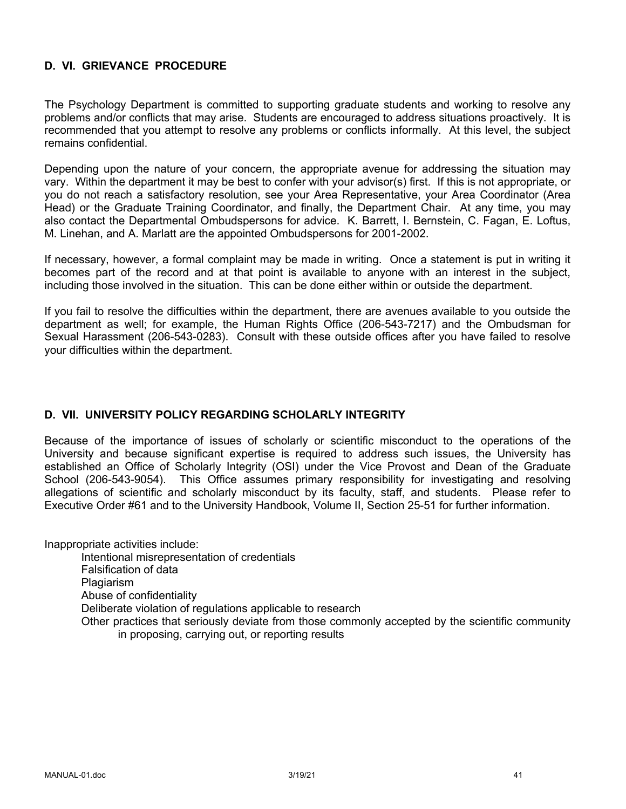# **D. VI. GRIEVANCE PROCEDURE**

The Psychology Department is committed to supporting graduate students and working to resolve any problems and/or conflicts that may arise. Students are encouraged to address situations proactively. It is recommended that you attempt to resolve any problems or conflicts informally. At this level, the subject remains confidential.

Depending upon the nature of your concern, the appropriate avenue for addressing the situation may vary. Within the department it may be best to confer with your advisor(s) first. If this is not appropriate, or you do not reach a satisfactory resolution, see your Area Representative, your Area Coordinator (Area Head) or the Graduate Training Coordinator, and finally, the Department Chair. At any time, you may also contact the Departmental Ombudspersons for advice. K. Barrett, I. Bernstein, C. Fagan, E. Loftus, M. Linehan, and A. Marlatt are the appointed Ombudspersons for 2001-2002.

If necessary, however, a formal complaint may be made in writing. Once a statement is put in writing it becomes part of the record and at that point is available to anyone with an interest in the subject, including those involved in the situation. This can be done either within or outside the department.

If you fail to resolve the difficulties within the department, there are avenues available to you outside the department as well; for example, the Human Rights Office (206-543-7217) and the Ombudsman for Sexual Harassment (206-543-0283). Consult with these outside offices after you have failed to resolve your difficulties within the department.

# **D. VII. UNIVERSITY POLICY REGARDING SCHOLARLY INTEGRITY**

Because of the importance of issues of scholarly or scientific misconduct to the operations of the University and because significant expertise is required to address such issues, the University has established an Office of Scholarly Integrity (OSI) under the Vice Provost and Dean of the Graduate School (206-543-9054). This Office assumes primary responsibility for investigating and resolving allegations of scientific and scholarly misconduct by its faculty, staff, and students. Please refer to Executive Order #61 and to the University Handbook, Volume II, Section 25-51 for further information.

Inappropriate activities include:

Intentional misrepresentation of credentials Falsification of data **Plagiarism** Abuse of confidentiality Deliberate violation of regulations applicable to research Other practices that seriously deviate from those commonly accepted by the scientific community in proposing, carrying out, or reporting results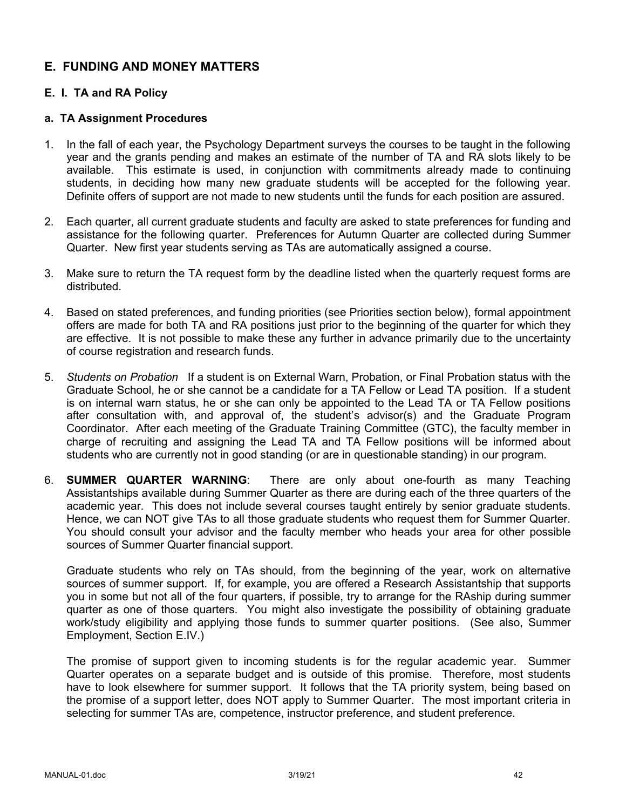# **E. FUNDING AND MONEY MATTERS**

# **E. I. TA and RA Policy**

#### **a. TA Assignment Procedures**

- 1. In the fall of each year, the Psychology Department surveys the courses to be taught in the following year and the grants pending and makes an estimate of the number of TA and RA slots likely to be available. This estimate is used, in conjunction with commitments already made to continuing students, in deciding how many new graduate students will be accepted for the following year. Definite offers of support are not made to new students until the funds for each position are assured.
- 2. Each quarter, all current graduate students and faculty are asked to state preferences for funding and assistance for the following quarter. Preferences for Autumn Quarter are collected during Summer Quarter. New first year students serving as TAs are automatically assigned a course.
- 3. Make sure to return the TA request form by the deadline listed when the quarterly request forms are distributed.
- 4. Based on stated preferences, and funding priorities (see Priorities section below), formal appointment offers are made for both TA and RA positions just prior to the beginning of the quarter for which they are effective. It is not possible to make these any further in advance primarily due to the uncertainty of course registration and research funds.
- 5. *Students on Probation* If a student is on External Warn, Probation, or Final Probation status with the Graduate School, he or she cannot be a candidate for a TA Fellow or Lead TA position. If a student is on internal warn status, he or she can only be appointed to the Lead TA or TA Fellow positions after consultation with, and approval of, the student's advisor(s) and the Graduate Program Coordinator. After each meeting of the Graduate Training Committee (GTC), the faculty member in charge of recruiting and assigning the Lead TA and TA Fellow positions will be informed about students who are currently not in good standing (or are in questionable standing) in our program.
- 6. **SUMMER QUARTER WARNING**: There are only about one-fourth as many Teaching Assistantships available during Summer Quarter as there are during each of the three quarters of the academic year. This does not include several courses taught entirely by senior graduate students. Hence, we can NOT give TAs to all those graduate students who request them for Summer Quarter. You should consult your advisor and the faculty member who heads your area for other possible sources of Summer Quarter financial support.

Graduate students who rely on TAs should, from the beginning of the year, work on alternative sources of summer support. If, for example, you are offered a Research Assistantship that supports you in some but not all of the four quarters, if possible, try to arrange for the RAship during summer quarter as one of those quarters. You might also investigate the possibility of obtaining graduate work/study eligibility and applying those funds to summer quarter positions. (See also, Summer Employment, Section E.IV.)

The promise of support given to incoming students is for the regular academic year. Summer Quarter operates on a separate budget and is outside of this promise. Therefore, most students have to look elsewhere for summer support. It follows that the TA priority system, being based on the promise of a support letter, does NOT apply to Summer Quarter. The most important criteria in selecting for summer TAs are, competence, instructor preference, and student preference.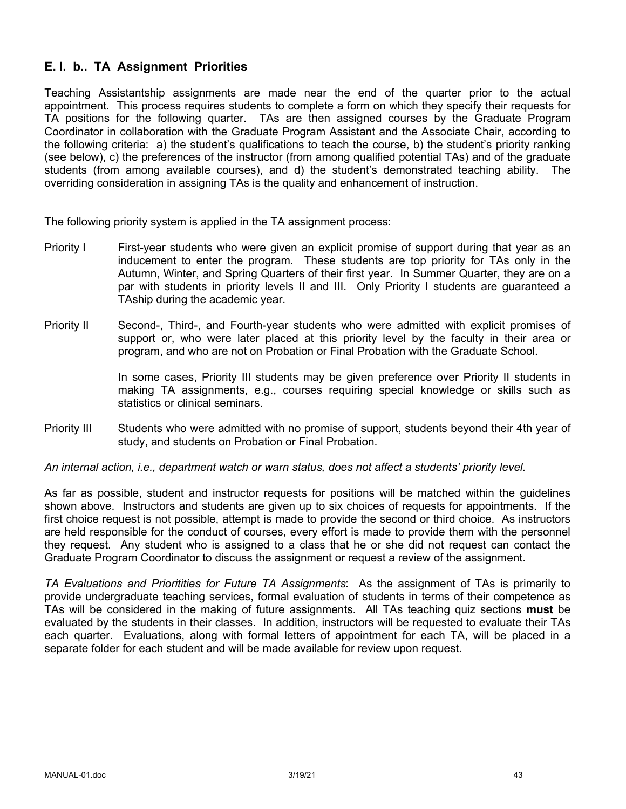# **E. I. b.. TA Assignment Priorities**

Teaching Assistantship assignments are made near the end of the quarter prior to the actual appointment. This process requires students to complete a form on which they specify their requests for TA positions for the following quarter. TAs are then assigned courses by the Graduate Program Coordinator in collaboration with the Graduate Program Assistant and the Associate Chair, according to the following criteria: a) the student's qualifications to teach the course, b) the student's priority ranking (see below), c) the preferences of the instructor (from among qualified potential TAs) and of the graduate students (from among available courses), and d) the student's demonstrated teaching ability. The overriding consideration in assigning TAs is the quality and enhancement of instruction.

The following priority system is applied in the TA assignment process:

- Priority I First-year students who were given an explicit promise of support during that year as an inducement to enter the program. These students are top priority for TAs only in the Autumn, Winter, and Spring Quarters of their first year. In Summer Quarter, they are on a par with students in priority levels II and III. Only Priority I students are guaranteed a TAship during the academic year.
- Priority II Second-, Third-, and Fourth-year students who were admitted with explicit promises of support or, who were later placed at this priority level by the faculty in their area or program, and who are not on Probation or Final Probation with the Graduate School.

In some cases, Priority III students may be given preference over Priority II students in making TA assignments, e.g., courses requiring special knowledge or skills such as statistics or clinical seminars.

Priority III Students who were admitted with no promise of support, students beyond their 4th year of study, and students on Probation or Final Probation.

*An internal action, i.e., department watch or warn status, does not affect a students' priority level.*

As far as possible, student and instructor requests for positions will be matched within the guidelines shown above. Instructors and students are given up to six choices of requests for appointments. If the first choice request is not possible, attempt is made to provide the second or third choice. As instructors are held responsible for the conduct of courses, every effort is made to provide them with the personnel they request. Any student who is assigned to a class that he or she did not request can contact the Graduate Program Coordinator to discuss the assignment or request a review of the assignment.

*TA Evaluations and Prioritities for Future TA Assignments*: As the assignment of TAs is primarily to provide undergraduate teaching services, formal evaluation of students in terms of their competence as TAs will be considered in the making of future assignments. All TAs teaching quiz sections **must** be evaluated by the students in their classes. In addition, instructors will be requested to evaluate their TAs each quarter. Evaluations, along with formal letters of appointment for each TA, will be placed in a separate folder for each student and will be made available for review upon request.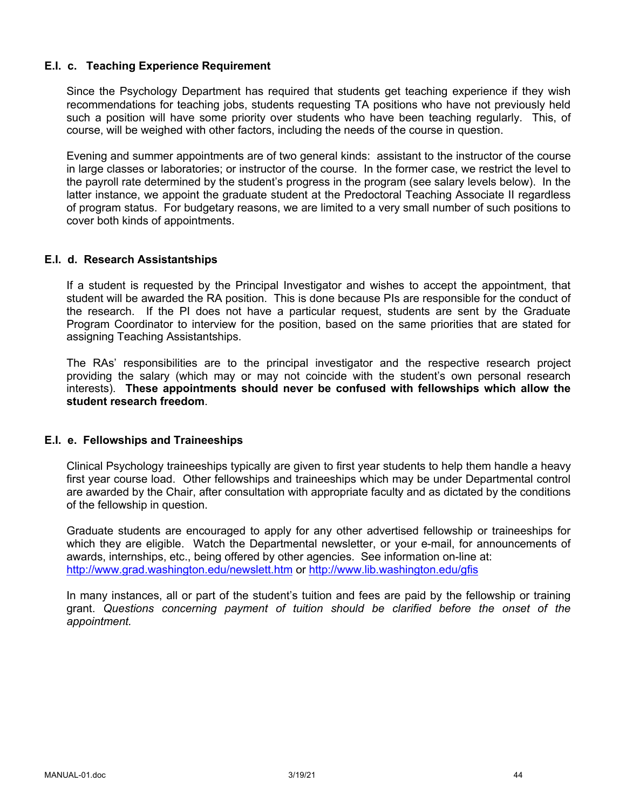#### **E.I. c. Teaching Experience Requirement**

Since the Psychology Department has required that students get teaching experience if they wish recommendations for teaching jobs, students requesting TA positions who have not previously held such a position will have some priority over students who have been teaching regularly. This, of course, will be weighed with other factors, including the needs of the course in question.

Evening and summer appointments are of two general kinds: assistant to the instructor of the course in large classes or laboratories; or instructor of the course. In the former case, we restrict the level to the payroll rate determined by the student's progress in the program (see salary levels below). In the latter instance, we appoint the graduate student at the Predoctoral Teaching Associate II regardless of program status. For budgetary reasons, we are limited to a very small number of such positions to cover both kinds of appointments.

#### **E.I. d. Research Assistantships**

If a student is requested by the Principal Investigator and wishes to accept the appointment, that student will be awarded the RA position. This is done because PIs are responsible for the conduct of the research. If the PI does not have a particular request, students are sent by the Graduate Program Coordinator to interview for the position, based on the same priorities that are stated for assigning Teaching Assistantships.

The RAs' responsibilities are to the principal investigator and the respective research project providing the salary (which may or may not coincide with the student's own personal research interests). **These appointments should never be confused with fellowships which allow the student research freedom**.

# **E.I. e. Fellowships and Traineeships**

Clinical Psychology traineeships typically are given to first year students to help them handle a heavy first year course load. Other fellowships and traineeships which may be under Departmental control are awarded by the Chair, after consultation with appropriate faculty and as dictated by the conditions of the fellowship in question.

Graduate students are encouraged to apply for any other advertised fellowship or traineeships for which they are eligible. Watch the Departmental newsletter, or your e-mail, for announcements of awards, internships, etc., being offered by other agencies. See information on-line at: http://www.grad.washington.edu/newslett.htm or http://www.lib.washington.edu/gfis

In many instances, all or part of the student's tuition and fees are paid by the fellowship or training grant. *Questions concerning payment of tuition should be clarified before the onset of the appointment.*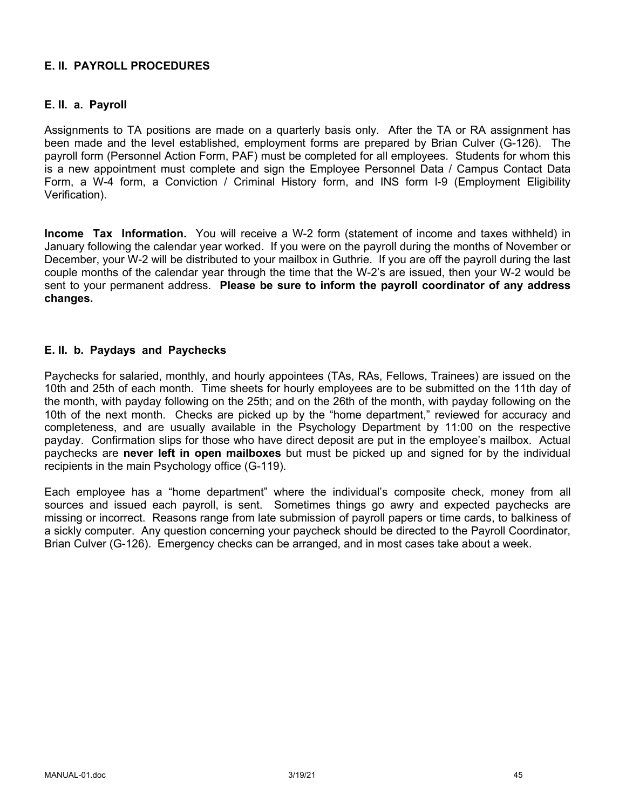# **E. II. PAYROLL PROCEDURES**

## **E. II. a. Payroll**

Assignments to TA positions are made on a quarterly basis only. After the TA or RA assignment has been made and the level established, employment forms are prepared by Brian Culver (G-126). The payroll form (Personnel Action Form, PAF) must be completed for all employees. Students for whom this is a new appointment must complete and sign the Employee Personnel Data / Campus Contact Data Form, a W-4 form, a Conviction / Criminal History form, and INS form I-9 (Employment Eligibility Verification).

**Income Tax Information.** You will receive a W-2 form (statement of income and taxes withheld) in January following the calendar year worked. If you were on the payroll during the months of November or December, your W-2 will be distributed to your mailbox in Guthrie. If you are off the payroll during the last couple months of the calendar year through the time that the W-2's are issued, then your W-2 would be sent to your permanent address. **Please be sure to inform the payroll coordinator of any address changes.**

## **E. II. b. Paydays and Paychecks**

Paychecks for salaried, monthly, and hourly appointees (TAs, RAs, Fellows, Trainees) are issued on the 10th and 25th of each month. Time sheets for hourly employees are to be submitted on the 11th day of the month, with payday following on the 25th; and on the 26th of the month, with payday following on the 10th of the next month. Checks are picked up by the "home department," reviewed for accuracy and completeness, and are usually available in the Psychology Department by 11:00 on the respective payday. Confirmation slips for those who have direct deposit are put in the employee's mailbox. Actual paychecks are **never left in open mailboxes** but must be picked up and signed for by the individual recipients in the main Psychology office (G-119).

Each employee has a "home department" where the individual's composite check, money from all sources and issued each payroll, is sent. Sometimes things go awry and expected paychecks are missing or incorrect. Reasons range from late submission of payroll papers or time cards, to balkiness of a sickly computer. Any question concerning your paycheck should be directed to the Payroll Coordinator, Brian Culver (G-126). Emergency checks can be arranged, and in most cases take about a week.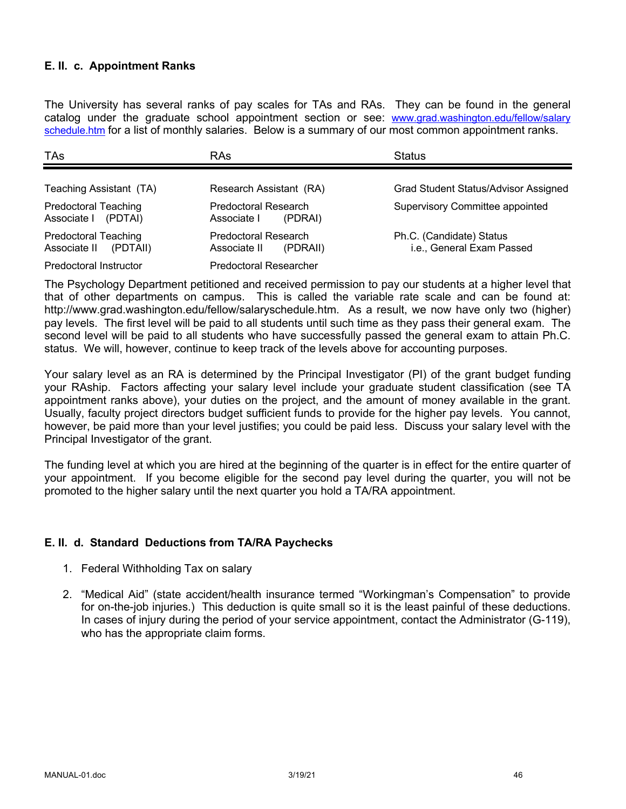## **E. II. c. Appointment Ranks**

The University has several ranks of pay scales for TAs and RAs. They can be found in the general catalog under the graduate school appointment section or see: www.grad.washington.edu/fellow/salary schedule.htm for a list of monthly salaries. Below is a summary of our most common appointment ranks.

| <b>TAs</b>                                              | <b>RAs</b>                                       | <b>Status</b>                                         |
|---------------------------------------------------------|--------------------------------------------------|-------------------------------------------------------|
| Teaching Assistant (TA)                                 | Research Assistant (RA)                          | <b>Grad Student Status/Advisor Assigned</b>           |
| <b>Predoctoral Teaching</b><br>Associate   (PDTAI)      | Predoctoral Research<br>Associate I<br>(PDRAI)   | <b>Supervisory Committee appointed</b>                |
| <b>Predoctoral Teaching</b><br>Associate II<br>(PDTAII) | Predoctoral Research<br>Associate II<br>(PDRAII) | Ph.C. (Candidate) Status<br>i.e., General Exam Passed |
| Predoctoral Instructor                                  | <b>Predoctoral Researcher</b>                    |                                                       |

The Psychology Department petitioned and received permission to pay our students at a higher level that that of other departments on campus. This is called the variable rate scale and can be found at: http://www.grad.washington.edu/fellow/salaryschedule.htm. As a result, we now have only two (higher) pay levels. The first level will be paid to all students until such time as they pass their general exam. The second level will be paid to all students who have successfully passed the general exam to attain Ph.C. status. We will, however, continue to keep track of the levels above for accounting purposes.

Your salary level as an RA is determined by the Principal Investigator (PI) of the grant budget funding your RAship. Factors affecting your salary level include your graduate student classification (see TA appointment ranks above), your duties on the project, and the amount of money available in the grant. Usually, faculty project directors budget sufficient funds to provide for the higher pay levels. You cannot, however, be paid more than your level justifies; you could be paid less. Discuss your salary level with the Principal Investigator of the grant.

The funding level at which you are hired at the beginning of the quarter is in effect for the entire quarter of your appointment. If you become eligible for the second pay level during the quarter, you will not be promoted to the higher salary until the next quarter you hold a TA/RA appointment.

# **E. II. d. Standard Deductions from TA/RA Paychecks**

- 1. Federal Withholding Tax on salary
- 2. "Medical Aid" (state accident/health insurance termed "Workingman's Compensation" to provide for on-the-job injuries.) This deduction is quite small so it is the least painful of these deductions. In cases of injury during the period of your service appointment, contact the Administrator (G-119), who has the appropriate claim forms.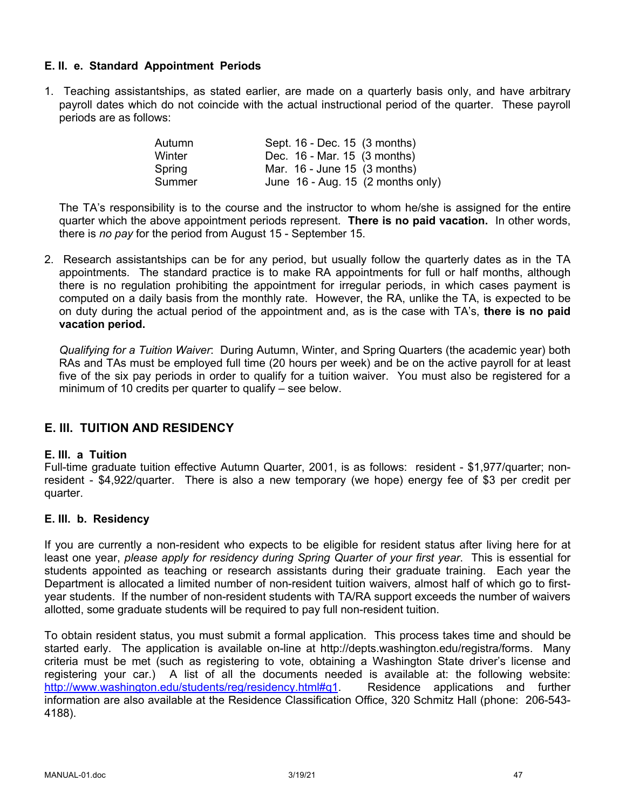# **E. II. e. Standard Appointment Periods**

1. Teaching assistantships, as stated earlier, are made on a quarterly basis only, and have arbitrary payroll dates which do not coincide with the actual instructional period of the quarter. These payroll periods are as follows:

| Autumn | Sept. 16 - Dec. 15 (3 months)                 |
|--------|-----------------------------------------------|
| Winter | Dec. 16 - Mar. 15 (3 months)                  |
| Spring | Mar. 16 - June 15 (3 months)                  |
| Summer | June $16$ - Aug. 15 $(2 \text{ months only})$ |

The TA's responsibility is to the course and the instructor to whom he/she is assigned for the entire quarter which the above appointment periods represent. **There is no paid vacation.** In other words, there is *no pay* for the period from August 15 - September 15.

2. Research assistantships can be for any period, but usually follow the quarterly dates as in the TA appointments. The standard practice is to make RA appointments for full or half months, although there is no regulation prohibiting the appointment for irregular periods, in which cases payment is computed on a daily basis from the monthly rate. However, the RA, unlike the TA, is expected to be on duty during the actual period of the appointment and, as is the case with TA's, **there is no paid vacation period.**

*Qualifying for a Tuition Waiver*: During Autumn, Winter, and Spring Quarters (the academic year) both RAs and TAs must be employed full time (20 hours per week) and be on the active payroll for at least five of the six pay periods in order to qualify for a tuition waiver. You must also be registered for a minimum of 10 credits per quarter to qualify – see below.

# **E. III. TUITION AND RESIDENCY**

#### **E. III. a Tuition**

Full-time graduate tuition effective Autumn Quarter, 2001, is as follows: resident - \$1,977/quarter; nonresident - \$4,922/quarter. There is also a new temporary (we hope) energy fee of \$3 per credit per quarter.

#### **E. III. b. Residency**

If you are currently a non-resident who expects to be eligible for resident status after living here for at least one year, *please apply for residency during Spring Quarter of your first year*. This is essential for students appointed as teaching or research assistants during their graduate training. Each year the Department is allocated a limited number of non-resident tuition waivers, almost half of which go to firstyear students. If the number of non-resident students with TA/RA support exceeds the number of waivers allotted, some graduate students will be required to pay full non-resident tuition.

To obtain resident status, you must submit a formal application. This process takes time and should be started early. The application is available on-line at http://depts.washington.edu/registra/forms. Many criteria must be met (such as registering to vote, obtaining a Washington State driver's license and registering your car.) A list of all the documents needed is available at: the following website: http://www.washington.edu/students/reg/residency.html#q1. Residence applications and further information are also available at the Residence Classification Office, 320 Schmitz Hall (phone: 206-543- 4188).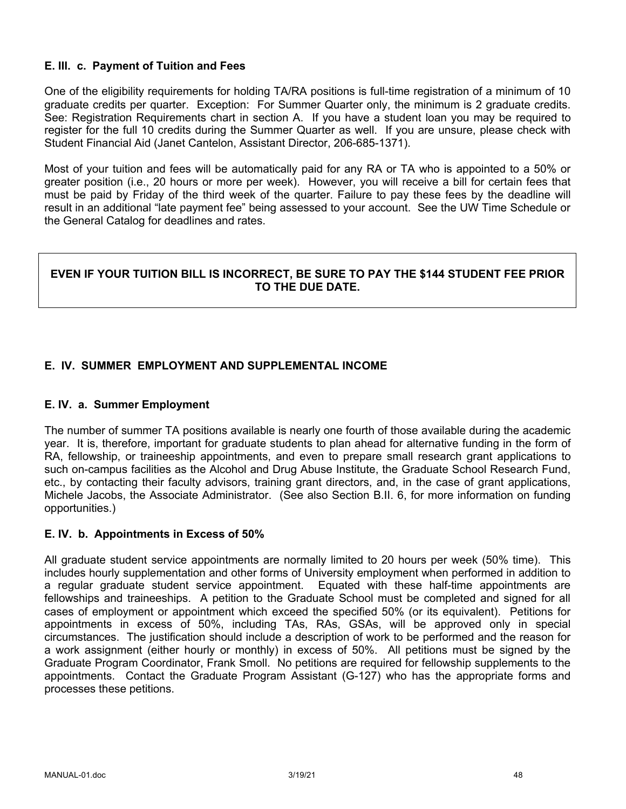# **E. III. c. Payment of Tuition and Fees**

One of the eligibility requirements for holding TA/RA positions is full-time registration of a minimum of 10 graduate credits per quarter. Exception: For Summer Quarter only, the minimum is 2 graduate credits. See: Registration Requirements chart in section A. If you have a student loan you may be required to register for the full 10 credits during the Summer Quarter as well. If you are unsure, please check with Student Financial Aid (Janet Cantelon, Assistant Director, 206-685-1371).

Most of your tuition and fees will be automatically paid for any RA or TA who is appointed to a 50% or greater position (i.e., 20 hours or more per week). However, you will receive a bill for certain fees that must be paid by Friday of the third week of the quarter. Failure to pay these fees by the deadline will result in an additional "late payment fee" being assessed to your account. See the UW Time Schedule or the General Catalog for deadlines and rates.

# **EVEN IF YOUR TUITION BILL IS INCORRECT, BE SURE TO PAY THE \$144 STUDENT FEE PRIOR TO THE DUE DATE.**

# **E. IV. SUMMER EMPLOYMENT AND SUPPLEMENTAL INCOME**

#### **E. IV. a. Summer Employment**

The number of summer TA positions available is nearly one fourth of those available during the academic year. It is, therefore, important for graduate students to plan ahead for alternative funding in the form of RA, fellowship, or traineeship appointments, and even to prepare small research grant applications to such on-campus facilities as the Alcohol and Drug Abuse Institute, the Graduate School Research Fund, etc., by contacting their faculty advisors, training grant directors, and, in the case of grant applications, Michele Jacobs, the Associate Administrator. (See also Section B.II. 6, for more information on funding opportunities.)

#### **E. IV. b. Appointments in Excess of 50%**

All graduate student service appointments are normally limited to 20 hours per week (50% time). This includes hourly supplementation and other forms of University employment when performed in addition to a regular graduate student service appointment. Equated with these half-time appointments are fellowships and traineeships. A petition to the Graduate School must be completed and signed for all cases of employment or appointment which exceed the specified 50% (or its equivalent). Petitions for appointments in excess of 50%, including TAs, RAs, GSAs, will be approved only in special circumstances. The justification should include a description of work to be performed and the reason for a work assignment (either hourly or monthly) in excess of 50%. All petitions must be signed by the Graduate Program Coordinator, Frank Smoll. No petitions are required for fellowship supplements to the appointments. Contact the Graduate Program Assistant (G-127) who has the appropriate forms and processes these petitions.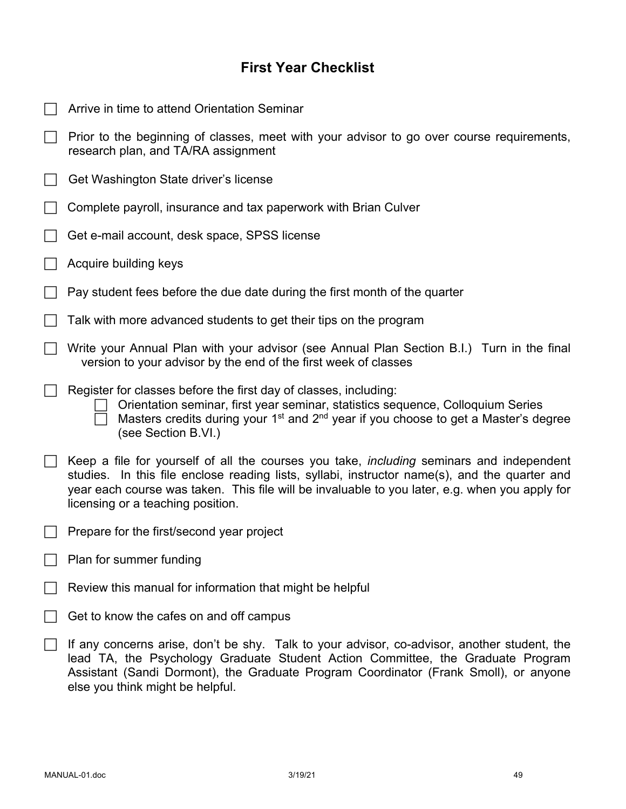# **First Year Checklist**

| Arrive in time to attend Orientation Seminar                                                                                                                                                                                                                                                                                            |
|-----------------------------------------------------------------------------------------------------------------------------------------------------------------------------------------------------------------------------------------------------------------------------------------------------------------------------------------|
| Prior to the beginning of classes, meet with your advisor to go over course requirements,<br>research plan, and TA/RA assignment                                                                                                                                                                                                        |
| Get Washington State driver's license                                                                                                                                                                                                                                                                                                   |
| Complete payroll, insurance and tax paperwork with Brian Culver                                                                                                                                                                                                                                                                         |
| Get e-mail account, desk space, SPSS license                                                                                                                                                                                                                                                                                            |
| Acquire building keys                                                                                                                                                                                                                                                                                                                   |
| Pay student fees before the due date during the first month of the quarter                                                                                                                                                                                                                                                              |
| Talk with more advanced students to get their tips on the program                                                                                                                                                                                                                                                                       |
| Write your Annual Plan with your advisor (see Annual Plan Section B.I.) Turn in the final<br>version to your advisor by the end of the first week of classes                                                                                                                                                                            |
| Register for classes before the first day of classes, including:<br>Orientation seminar, first year seminar, statistics sequence, Colloquium Series<br>Masters credits during your 1 <sup>st</sup> and 2 <sup>nd</sup> year if you choose to get a Master's degree<br>(see Section B.VI.)                                               |
| Keep a file for yourself of all the courses you take, <i>including</i> seminars and independent<br>studies. In this file enclose reading lists, syllabi, instructor name(s), and the quarter and<br>year each course was taken. This file will be invaluable to you later, e.g. when you apply for<br>licensing or a teaching position. |
| Prepare for the first/second year project                                                                                                                                                                                                                                                                                               |
| Plan for summer funding                                                                                                                                                                                                                                                                                                                 |
| Review this manual for information that might be helpful                                                                                                                                                                                                                                                                                |
| Get to know the cafes on and off campus                                                                                                                                                                                                                                                                                                 |
| If any concerns arise, don't be shy. Talk to your advisor, co-advisor, another student, the<br>lead TA, the Psychology Graduate Student Action Committee, the Graduate Program<br>Assistant (Sandi Dormont), the Graduate Program Coordinator (Frank Smoll), or anyone<br>else you think might be helpful.                              |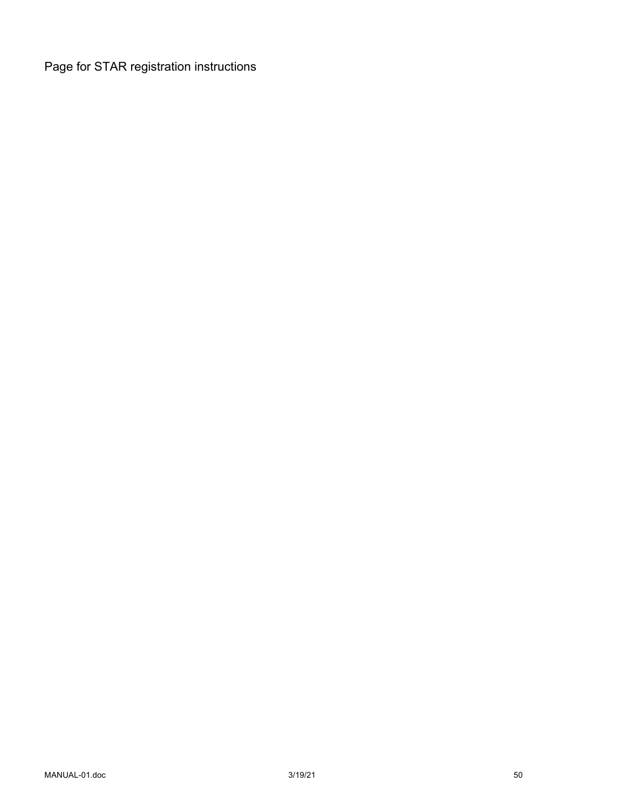Page for STAR registration instructions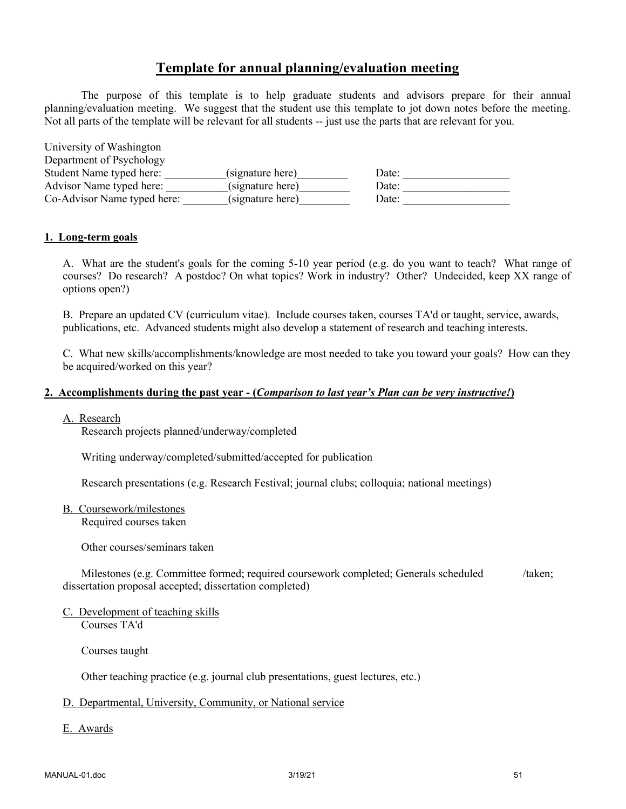# **Template for annual planning/evaluation meeting**

The purpose of this template is to help graduate students and advisors prepare for their annual planning/evaluation meeting. We suggest that the student use this template to jot down notes before the meeting. Not all parts of the template will be relevant for all students -- just use the parts that are relevant for you.

| University of Washington    |                  |       |
|-----------------------------|------------------|-------|
| Department of Psychology    |                  |       |
| Student Name typed here:    | (signature here) | Date: |
| Advisor Name typed here:    | (signature here) | Date: |
| Co-Advisor Name typed here: | (signature here) | Date: |

#### **1. Long-term goals**

A. What are the student's goals for the coming 5-10 year period (e.g. do you want to teach? What range of courses? Do research? A postdoc? On what topics? Work in industry? Other? Undecided, keep XX range of options open?)

B. Prepare an updated CV (curriculum vitae). Include courses taken, courses TA'd or taught, service, awards, publications, etc. Advanced students might also develop a statement of research and teaching interests.

C. What new skills/accomplishments/knowledge are most needed to take you toward your goals? How can they be acquired/worked on this year?

#### **2. Accomplishments during the past year - (***Comparison to last year's Plan can be very instructive!***)**

#### A. Research

Research projects planned/underway/completed

Writing underway/completed/submitted/accepted for publication

Research presentations (e.g. Research Festival; journal clubs; colloquia; national meetings)

B. Coursework/milestones

Required courses taken

Other courses/seminars taken

Milestones (e.g. Committee formed; required coursework completed; Generals scheduled /taken; dissertation proposal accepted; dissertation completed)

C. Development of teaching skills Courses TA'd

Courses taught

Other teaching practice (e.g. journal club presentations, guest lectures, etc.)

#### D. Departmental, University, Community, or National service

E. Awards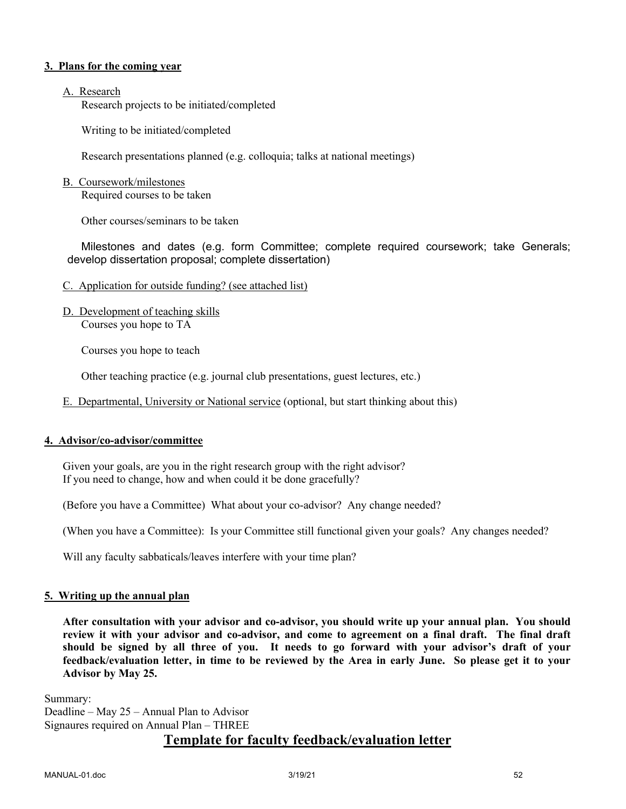#### **3. Plans for the coming year**

#### A. Research

Research projects to be initiated/completed

Writing to be initiated/completed

Research presentations planned (e.g. colloquia; talks at national meetings)

#### B. Coursework/milestones

Required courses to be taken

Other courses/seminars to be taken

Milestones and dates (e.g. form Committee; complete required coursework; take Generals; develop dissertation proposal; complete dissertation)

- C. Application for outside funding? (see attached list)
- D. Development of teaching skills Courses you hope to TA

Courses you hope to teach

Other teaching practice (e.g. journal club presentations, guest lectures, etc.)

E. Departmental, University or National service (optional, but start thinking about this)

#### **4. Advisor/co-advisor/committee**

Given your goals, are you in the right research group with the right advisor? If you need to change, how and when could it be done gracefully?

(Before you have a Committee) What about your co-advisor? Any change needed?

(When you have a Committee): Is your Committee still functional given your goals? Any changes needed?

Will any faculty sabbaticals/leaves interfere with your time plan?

#### **5. Writing up the annual plan**

**After consultation with your advisor and co-advisor, you should write up your annual plan. You should review it with your advisor and co-advisor, and come to agreement on a final draft. The final draft should be signed by all three of you. It needs to go forward with your advisor's draft of your feedback/evaluation letter, in time to be reviewed by the Area in early June. So please get it to your Advisor by May 25.**

Summary: Deadline – May 25 – Annual Plan to Advisor Signaures required on Annual Plan – THREE

# **Template for faculty feedback/evaluation letter**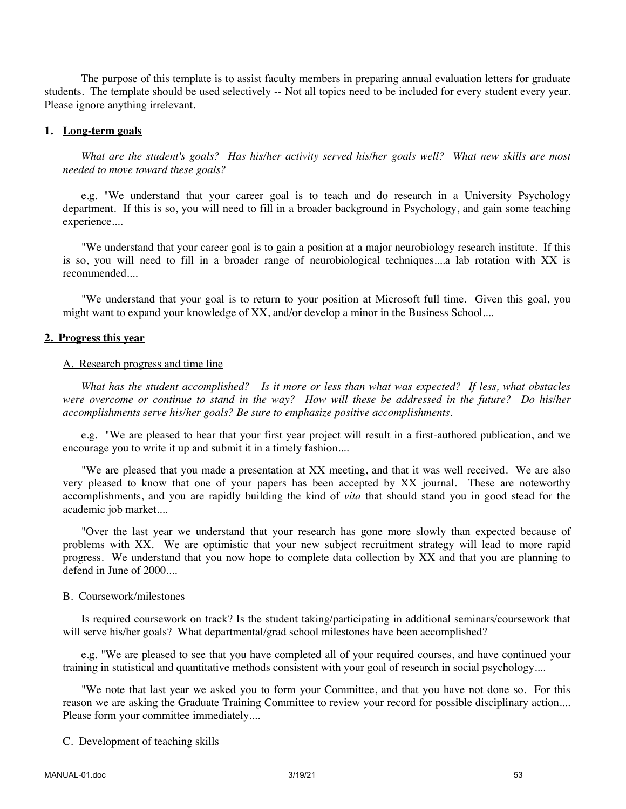The purpose of this template is to assist faculty members in preparing annual evaluation letters for graduate students. The template should be used selectively -- Not all topics need to be included for every student every year. Please ignore anything irrelevant.

#### **1. Long-term goals**

*What are the student's goals? Has his/her activity served his/her goals well? What new skills are most needed to move toward these goals?*

e.g. "We understand that your career goal is to teach and do research in a University Psychology department. If this is so, you will need to fill in a broader background in Psychology, and gain some teaching experience....

"We understand that your career goal is to gain a position at a major neurobiology research institute. If this is so, you will need to fill in a broader range of neurobiological techniques....a lab rotation with XX is recommended....

"We understand that your goal is to return to your position at Microsoft full time. Given this goal, you might want to expand your knowledge of XX, and/or develop a minor in the Business School....

#### **2. Progress this year**

#### A. Research progress and time line

*What has the student accomplished? Is it more or less than what was expected? If less, what obstacles were overcome or continue to stand in the way? How will these be addressed in the future? Do his/her accomplishments serve his/her goals? Be sure to emphasize positive accomplishments.*

e.g. "We are pleased to hear that your first year project will result in a first-authored publication, and we encourage you to write it up and submit it in a timely fashion....

"We are pleased that you made a presentation at XX meeting, and that it was well received. We are also very pleased to know that one of your papers has been accepted by XX journal. These are noteworthy accomplishments, and you are rapidly building the kind of *vita* that should stand you in good stead for the academic job market....

"Over the last year we understand that your research has gone more slowly than expected because of problems with XX. We are optimistic that your new subject recruitment strategy will lead to more rapid progress. We understand that you now hope to complete data collection by XX and that you are planning to defend in June of 2000....

#### B. Coursework/milestones

Is required coursework on track? Is the student taking/participating in additional seminars/coursework that will serve his/her goals? What departmental/grad school milestones have been accomplished?

e.g. "We are pleased to see that you have completed all of your required courses, and have continued your training in statistical and quantitative methods consistent with your goal of research in social psychology....

"We note that last year we asked you to form your Committee, and that you have not done so. For this reason we are asking the Graduate Training Committee to review your record for possible disciplinary action.... Please form your committee immediately....

#### C. Development of teaching skills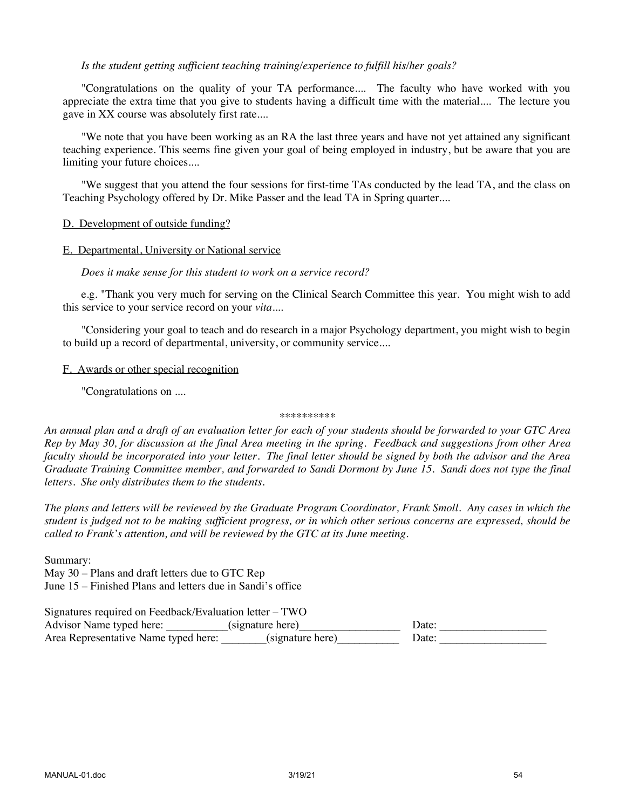#### *Is the student getting sufficient teaching training/experience to fulfill his/her goals?*

"Congratulations on the quality of your TA performance.... The faculty who have worked with you appreciate the extra time that you give to students having a difficult time with the material.... The lecture you gave in XX course was absolutely first rate....

"We note that you have been working as an RA the last three years and have not yet attained any significant teaching experience. This seems fine given your goal of being employed in industry, but be aware that you are limiting your future choices....

"We suggest that you attend the four sessions for first-time TAs conducted by the lead TA, and the class on Teaching Psychology offered by Dr. Mike Passer and the lead TA in Spring quarter....

#### D. Development of outside funding?

#### E. Departmental, University or National service

#### *Does it make sense for this student to work on a service record?*

e.g. "Thank you very much for serving on the Clinical Search Committee this year. You might wish to add this service to your service record on your *vita*....

"Considering your goal to teach and do research in a major Psychology department, you might wish to begin to build up a record of departmental, university, or community service....

#### F. Awards or other special recognition

"Congratulations on ....

#### \*\*\*\*\*\*\*\*\*\*

*An annual plan and a draft of an evaluation letter for each of your students should be forwarded to your GTC Area Rep by May 30, for discussion at the final Area meeting in the spring. Feedback and suggestions from other Area faculty should be incorporated into your letter. The final letter should be signed by both the advisor and the Area Graduate Training Committee member, and forwarded to Sandi Dormont by June 15. Sandi does not type the final letters. She only distributes them to the students.*

*The plans and letters will be reviewed by the Graduate Program Coordinator, Frank Smoll. Any cases in which the student is judged not to be making sufficient progress, or in which other serious concerns are expressed, should be called to Frank's attention, and will be reviewed by the GTC at its June meeting.*

Summary:

May 30 – Plans and draft letters due to GTC Rep June 15 – Finished Plans and letters due in Sandi's office

Signatures required on Feedback/Evaluation letter – TWO Advisor Name typed here: \_\_\_\_\_\_\_\_\_\_\_(signature here)\_\_\_\_\_\_\_\_\_\_\_\_\_\_\_\_\_\_ Date: \_\_\_\_\_\_\_\_\_\_\_\_\_\_\_\_\_\_\_ Area Representative Name typed here: \_\_\_\_\_\_\_(signature here)\_\_\_\_\_\_\_\_\_\_\_\_\_ Date: \_\_\_\_\_\_\_\_\_\_\_\_\_\_\_\_\_\_\_\_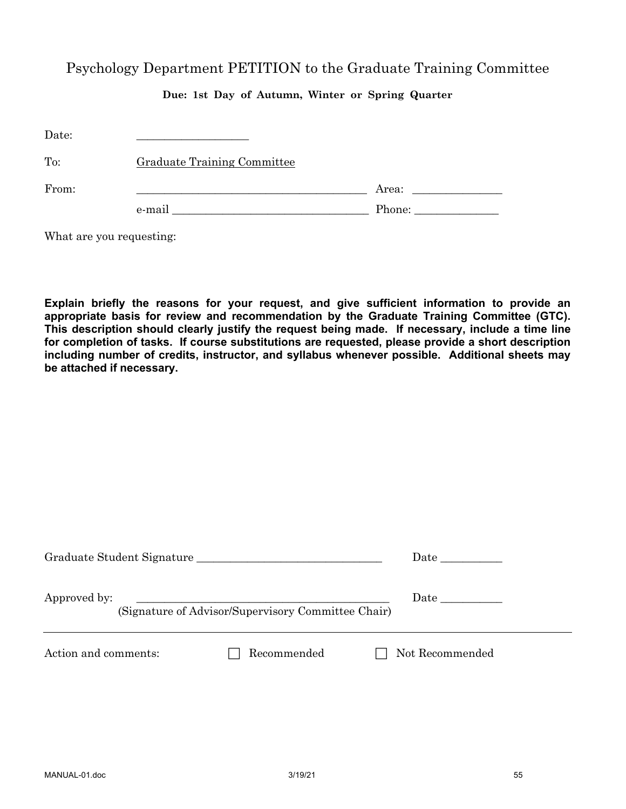# Psychology Department PETITION to the Graduate Training Committee

# **Due: 1st Day of Autumn, Winter or Spring Quarter**

| Date: |                                    |       |
|-------|------------------------------------|-------|
| To:   | <b>Graduate Training Committee</b> |       |
| From: |                                    | Area: |
|       | e-mail                             |       |

What are you requesting:

**Explain briefly the reasons for your request, and give sufficient information to provide an appropriate basis for review and recommendation by the Graduate Training Committee (GTC). This description should clearly justify the request being made. If necessary, include a time line for completion of tasks. If course substitutions are requested, please provide a short description including number of credits, instructor, and syllabus whenever possible. Additional sheets may be attached if necessary.**

| Graduate Student Signature |                                                    | <b>Date</b>     |
|----------------------------|----------------------------------------------------|-----------------|
| Approved by:               | (Signature of Advisor/Supervisory Committee Chair) |                 |
| Action and comments:       | Recommended                                        | Not Recommended |